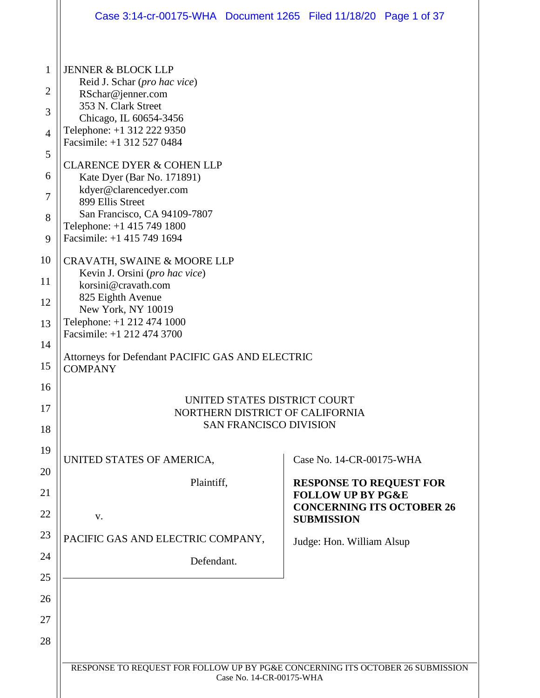|                | Case 3:14-cr-00175-WHA  Document 1265  Filed 11/18/20  Page 1 of 37            |                                                                |  |  |  |  |
|----------------|--------------------------------------------------------------------------------|----------------------------------------------------------------|--|--|--|--|
|                |                                                                                |                                                                |  |  |  |  |
| 1              | <b>JENNER &amp; BLOCK LLP</b>                                                  |                                                                |  |  |  |  |
| $\overline{2}$ | Reid J. Schar (pro hac vice)<br>RSchar@jenner.com                              |                                                                |  |  |  |  |
| 3              | 353 N. Clark Street<br>Chicago, IL 60654-3456                                  |                                                                |  |  |  |  |
| $\overline{4}$ | Telephone: +1 312 222 9350<br>Facsimile: +1 312 527 0484                       |                                                                |  |  |  |  |
| 5              |                                                                                |                                                                |  |  |  |  |
| 6              | <b>CLARENCE DYER &amp; COHEN LLP</b><br>Kate Dyer (Bar No. 171891)             |                                                                |  |  |  |  |
| 7              | kdyer@clarencedyer.com<br>899 Ellis Street                                     |                                                                |  |  |  |  |
| 8              | San Francisco, CA 94109-7807                                                   |                                                                |  |  |  |  |
| 9              | Telephone: +1 415 749 1800<br>Facsimile: +1 415 749 1694                       |                                                                |  |  |  |  |
| 10             | CRAVATH, SWAINE & MOORE LLP                                                    |                                                                |  |  |  |  |
| 11             | Kevin J. Orsini (pro hac vice)<br>korsini@cravath.com                          |                                                                |  |  |  |  |
| 12             | 825 Eighth Avenue                                                              |                                                                |  |  |  |  |
| 13             | New York, NY 10019<br>Telephone: +1 212 474 1000                               |                                                                |  |  |  |  |
| 14             | Facsimile: +1 212 474 3700                                                     |                                                                |  |  |  |  |
| 15             | Attorneys for Defendant PACIFIC GAS AND ELECTRIC<br><b>COMPANY</b>             |                                                                |  |  |  |  |
| 16             |                                                                                |                                                                |  |  |  |  |
| 17             | UNITED STATES DISTRICT COURT<br>NORTHERN DISTRICT OF CALIFORNIA                |                                                                |  |  |  |  |
| 18             | <b>SAN FRANCISCO DIVISION</b>                                                  |                                                                |  |  |  |  |
| 19             | UNITED STATES OF AMERICA,                                                      | Case No. 14-CR-00175-WHA                                       |  |  |  |  |
| 20             |                                                                                |                                                                |  |  |  |  |
| 21             | Plaintiff,                                                                     | <b>RESPONSE TO REQUEST FOR</b><br><b>FOLLOW UP BY PG&amp;E</b> |  |  |  |  |
| 22             | V.                                                                             | <b>CONCERNING ITS OCTOBER 26</b><br><b>SUBMISSION</b>          |  |  |  |  |
| 23             | PACIFIC GAS AND ELECTRIC COMPANY,                                              | Judge: Hon. William Alsup                                      |  |  |  |  |
| 24             | Defendant.                                                                     |                                                                |  |  |  |  |
| 25             |                                                                                |                                                                |  |  |  |  |
| 26             |                                                                                |                                                                |  |  |  |  |
| 27             |                                                                                |                                                                |  |  |  |  |
| 28             |                                                                                |                                                                |  |  |  |  |
|                | RESPONSE TO REQUEST FOR FOLLOW UP BY PG&E CONCERNING ITS OCTOBER 26 SUBMISSION |                                                                |  |  |  |  |
|                | Case No. 14-CR-00175-WHA                                                       |                                                                |  |  |  |  |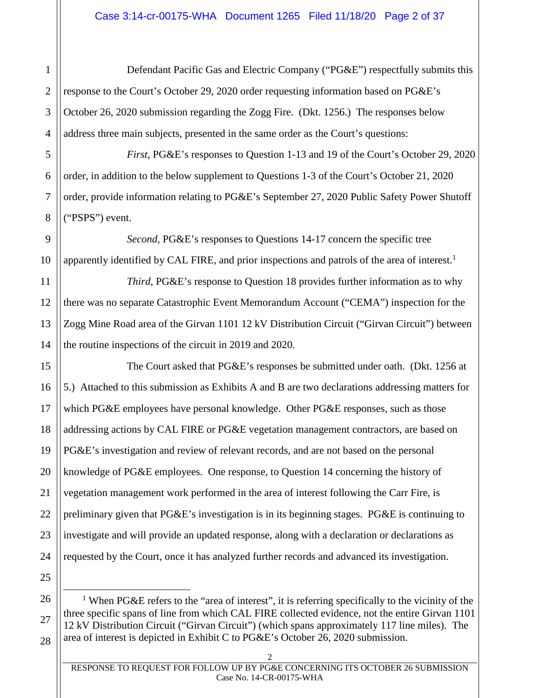Defendant Pacific Gas and Electric Company ("PG&E") respectfully submits this response to the Court's October 29, 2020 order requesting information based on PG&E's October 26, 2020 submission regarding the Zogg Fire. (Dkt. 1256.) The responses below address three main subjects, presented in the same order as the Court's questions:

*First*, PG&E's responses to Question 1-13 and 19 of the Court's October 29, 2020 order, in addition to the below supplement to Questions 1-3 of the Court's October 21, 2020 order, provide information relating to PG&E's September 27, 2020 Public Safety Power Shutoff ("PSPS") event.

*Second*, PG&E's responses to Questions 14-17 concern the specific tree apparently identified by CAL FIRE, and prior inspections and patrols of the area of interest.<sup>1</sup>

*Third*, PG&E's response to Question 18 provides further information as to why there was no separate Catastrophic Event Memorandum Account ("CEMA") inspection for the Zogg Mine Road area of the Girvan 1101 12 kV Distribution Circuit ("Girvan Circuit") between the routine inspections of the circuit in 2019 and 2020.

15 The Court asked that PG&E's responses be submitted under oath. (Dkt. 1256 at 5.) Attached to this submission as Exhibits A and B are two declarations addressing matters for which PG&E employees have personal knowledge. Other PG&E responses, such as those addressing actions by CAL FIRE or PG&E vegetation management contractors, are based on PG&E's investigation and review of relevant records, and are not based on the personal knowledge of PG&E employees. One response, to Question 14 concerning the history of vegetation management work performed in the area of interest following the Carr Fire, is preliminary given that PG&E's investigation is in its beginning stages. PG&E is continuing to investigate and will provide an updated response, along with a declaration or declarations as requested by the Court, once it has analyzed further records and advanced its investigation.

<sup>1</sup> When PG&E refers to the "area of interest", it is referring specifically to the vicinity of the three specific spans of line from which CAL FIRE collected evidence, not the entire Girvan 1101 12 kV Distribution Circuit ("Girvan Circuit") (which spans approximately 117 line miles). The area of interest is depicted in Exhibit C to PG&E's October 26, 2020 submission.

1

2

3

4

5

6

7

8

9

10

11

12

13

14

RESPONSE TO REQUEST FOR FOLLOW UP BY PG&E CONCERNING ITS OCTOBER 26 SUBMISSION Case No. 14-CR-00175-WHA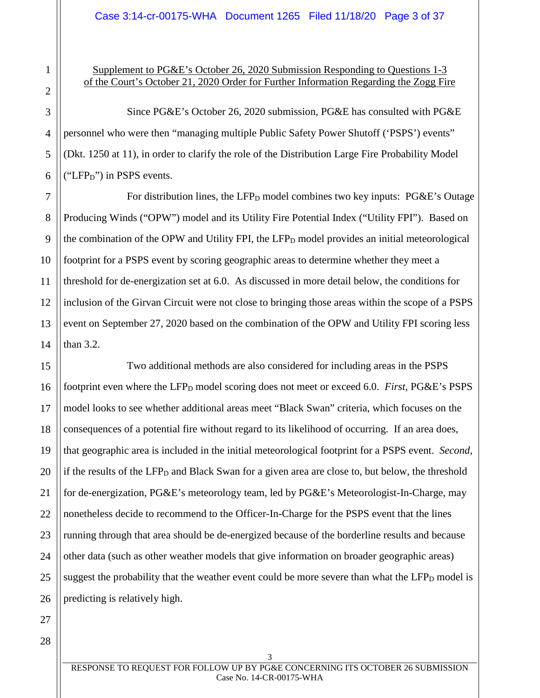# Supplement to PG&E's October 26, 2020 Submission Responding to Questions 1-3 of the Court's October 21, 2020 Order for Further Information Regarding the Zogg Fire

Since PG&E's October 26, 2020 submission, PG&E has consulted with PG&E personnel who were then "managing multiple Public Safety Power Shutoff ('PSPS') events" (Dkt. 1250 at 11), in order to clarify the role of the Distribution Large Fire Probability Model ("LFP $<sub>D</sub>$ ") in PSPS events.</sub>

For distribution lines, the LFP<sub>D</sub> model combines two key inputs:  $P G \& E$ 's Outage Producing Winds ("OPW") model and its Utility Fire Potential Index ("Utility FPI"). Based on the combination of the OPW and Utility FPI, the  $LFP<sub>D</sub>$  model provides an initial meteorological footprint for a PSPS event by scoring geographic areas to determine whether they meet a threshold for de-energization set at 6.0. As discussed in more detail below, the conditions for inclusion of the Girvan Circuit were not close to bringing those areas within the scope of a PSPS event on September 27, 2020 based on the combination of the OPW and Utility FPI scoring less than 3.2.

Two additional methods are also considered for including areas in the PSPS footprint even where the LFP<sub>D</sub> model scoring does not meet or exceed 6.0. *First*, PG&E's PSPS model looks to see whether additional areas meet "Black Swan" criteria, which focuses on the consequences of a potential fire without regard to its likelihood of occurring. If an area does, that geographic area is included in the initial meteorological footprint for a PSPS event. *Second*, if the results of the  $LFP<sub>D</sub>$  and Black Swan for a given area are close to, but below, the threshold for de-energization, PG&E's meteorology team, led by PG&E's Meteorologist-In-Charge, may nonetheless decide to recommend to the Officer-In-Charge for the PSPS event that the lines running through that area should be de-energized because of the borderline results and because other data (such as other weather models that give information on broader geographic areas) suggest the probability that the weather event could be more severe than what the  $LFP<sub>D</sub>$  model is predicting is relatively high.

1

RESPONSE TO REQUEST FOR FOLLOW UP BY PG&E CONCERNING ITS OCTOBER 26 SUBMISSION Case No. 14-CR-00175-WHA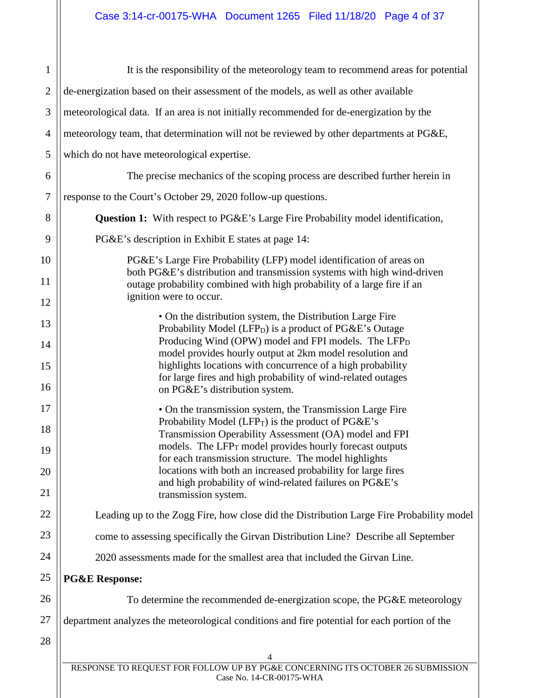| $\mathbf{1}$     | It is the responsibility of the meteorology team to recommend areas for potential                                                               |  |  |
|------------------|-------------------------------------------------------------------------------------------------------------------------------------------------|--|--|
| $\mathbf{2}$     | de-energization based on their assessment of the models, as well as other available                                                             |  |  |
| 3                | meteorological data. If an area is not initially recommended for de-energization by the                                                         |  |  |
| 4                | meteorology team, that determination will not be reviewed by other departments at PG&E,                                                         |  |  |
| 5                | which do not have meteorological expertise.                                                                                                     |  |  |
| 6                | The precise mechanics of the scoping process are described further herein in                                                                    |  |  |
| $\boldsymbol{7}$ | response to the Court's October 29, 2020 follow-up questions.                                                                                   |  |  |
| 8                | <b>Question 1:</b> With respect to PG&E's Large Fire Probability model identification,                                                          |  |  |
| 9                | PG&E's description in Exhibit E states at page 14:                                                                                              |  |  |
| 10               | PG&E's Large Fire Probability (LFP) model identification of areas on<br>both PG&E's distribution and transmission systems with high wind-driven |  |  |
| 11               | outage probability combined with high probability of a large fire if an<br>ignition were to occur.                                              |  |  |
| 12               | • On the distribution system, the Distribution Large Fire                                                                                       |  |  |
| 13<br>14         | Probability Model (LFP <sub>D</sub> ) is a product of PG&E's Outage<br>Producing Wind (OPW) model and FPI models. The LFP <sub>D</sub>          |  |  |
| 15               | model provides hourly output at 2km model resolution and<br>highlights locations with concurrence of a high probability                         |  |  |
| 16               | for large fires and high probability of wind-related outages                                                                                    |  |  |
| 17               | on PG&E's distribution system.                                                                                                                  |  |  |
| 18               | • On the transmission system, the Transmission Large Fire<br>Probability Model (LFP $_T$ ) is the product of PG&E's                             |  |  |
| 19               | Transmission Operability Assessment (OA) model and FPI<br>models. The $LFP_T$ model provides hourly forecast outputs                            |  |  |
| 20               | for each transmission structure. The model highlights<br>locations with both an increased probability for large fires                           |  |  |
| 21               | and high probability of wind-related failures on PG&E's<br>transmission system.                                                                 |  |  |
| 22               | Leading up to the Zogg Fire, how close did the Distribution Large Fire Probability model                                                        |  |  |
| 23               | come to assessing specifically the Girvan Distribution Line? Describe all September                                                             |  |  |
| 24               | 2020 assessments made for the smallest area that included the Girvan Line.                                                                      |  |  |
| 25               | <b>PG&amp;E Response:</b>                                                                                                                       |  |  |
| 26               | To determine the recommended de-energization scope, the PG&E meteorology                                                                        |  |  |
| 27               | department analyzes the meteorological conditions and fire potential for each portion of the                                                    |  |  |
| 28               |                                                                                                                                                 |  |  |
|                  | 4<br>RESPONSE TO REQUEST FOR FOLLOW UP BY PG&E CONCERNING ITS OCTOBER 26 SUBMISSION                                                             |  |  |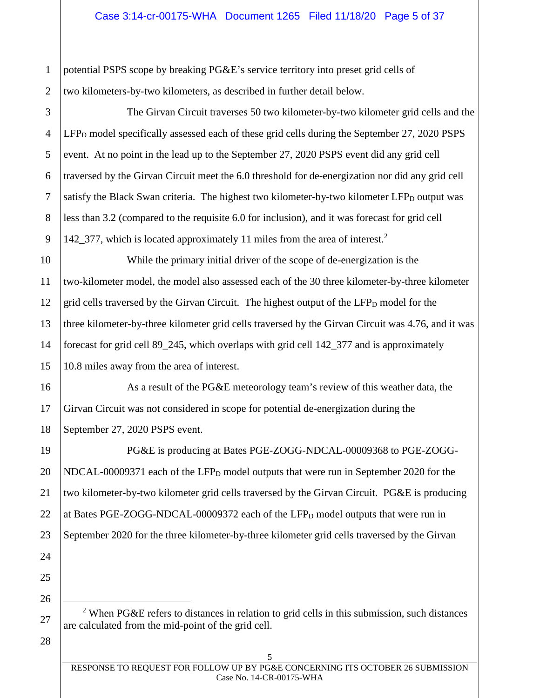1 2 potential PSPS scope by breaking PG&E's service territory into preset grid cells of two kilometers-by-two kilometers, as described in further detail below.

The Girvan Circuit traverses 50 two kilometer-by-two kilometer grid cells and the  $LFP<sub>D</sub>$  model specifically assessed each of these grid cells during the September 27, 2020 PSPS event. At no point in the lead up to the September 27, 2020 PSPS event did any grid cell traversed by the Girvan Circuit meet the 6.0 threshold for de-energization nor did any grid cell satisfy the Black Swan criteria. The highest two kilometer-by-two kilometer  $LFP<sub>D</sub>$  output was less than 3.2 (compared to the requisite 6.0 for inclusion), and it was forecast for grid cell 142 377, which is located approximately 11 miles from the area of interest.<sup>2</sup>

10 12 13 14 15 While the primary initial driver of the scope of de-energization is the two-kilometer model, the model also assessed each of the 30 three kilometer-by-three kilometer grid cells traversed by the Girvan Circuit. The highest output of the  $LFP<sub>D</sub>$  model for the three kilometer-by-three kilometer grid cells traversed by the Girvan Circuit was 4.76, and it was forecast for grid cell 89\_245, which overlaps with grid cell 142\_377 and is approximately 10.8 miles away from the area of interest.

16 17 As a result of the PG&E meteorology team's review of this weather data, the Girvan Circuit was not considered in scope for potential de-energization during the September 27, 2020 PSPS event.

PG&E is producing at Bates PGE-ZOGG-NDCAL-00009368 to PGE-ZOGG-NDCAL-00009371 each of the LFP<sub>D</sub> model outputs that were run in September 2020 for the two kilometer-by-two kilometer grid cells traversed by the Girvan Circuit. PG&E is producing at Bates PGE-ZOGG-NDCAL-00009372 each of the  $LFP<sub>D</sub>$  model outputs that were run in September 2020 for the three kilometer-by-three kilometer grid cells traversed by the Girvan

<sup>2</sup> When PG&E refers to distances in relation to grid cells in this submission, such distances are calculated from the mid-point of the grid cell.

3

4

5

6

7

8

9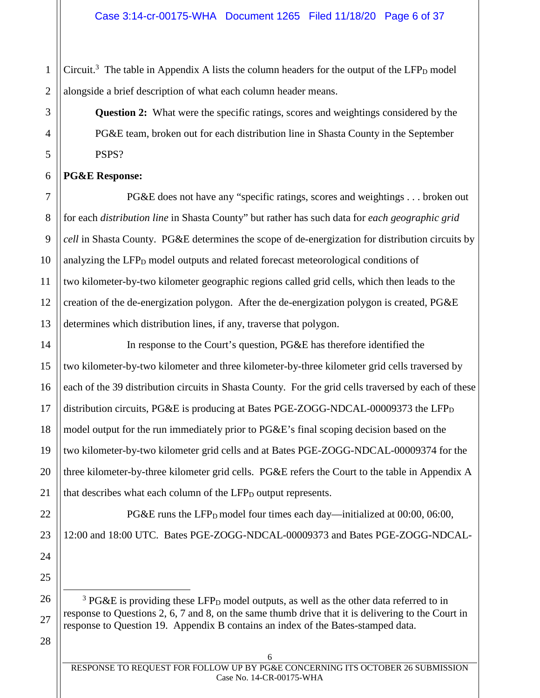2 Circuit.<sup>3</sup> The table in Appendix A lists the column headers for the output of the LFP<sub>D</sub> model alongside a brief description of what each column header means.

> **Question 2:** What were the specific ratings, scores and weightings considered by the PG&E team, broken out for each distribution line in Shasta County in the September PSPS?

**PG&E Response:** 

1

3

4

5

6

7

8

9

10

11

12

13

14

15

16

17

18

19

20

21

22

23

24

25

26

27

PG&E does not have any "specific ratings, scores and weightings . . . broken out for each *distribution line* in Shasta County" but rather has such data for *each geographic grid cell* in Shasta County. PG&E determines the scope of de-energization for distribution circuits by analyzing the  $LFP<sub>D</sub>$  model outputs and related forecast meteorological conditions of two kilometer-by-two kilometer geographic regions called grid cells, which then leads to the creation of the de-energization polygon. After the de-energization polygon is created, PG&E determines which distribution lines, if any, traverse that polygon.

In response to the Court's question, PG&E has therefore identified the two kilometer-by-two kilometer and three kilometer-by-three kilometer grid cells traversed by each of the 39 distribution circuits in Shasta County. For the grid cells traversed by each of these distribution circuits, PG&E is producing at Bates PGE-ZOGG-NDCAL-00009373 the LFP<sub>D</sub> model output for the run immediately prior to PG&E's final scoping decision based on the two kilometer-by-two kilometer grid cells and at Bates PGE-ZOGG-NDCAL-00009374 for the three kilometer-by-three kilometer grid cells. PG&E refers the Court to the table in Appendix A that describes what each column of the LFP<sub>D</sub> output represents.

PG&E runs the LFP<sub>D</sub> model four times each day—initialized at  $00:00$ ,  $06:00$ , 12:00 and 18:00 UTC. Bates PGE-ZOGG-NDCAL-00009373 and Bates PGE-ZOGG-NDCAL-

 $3 PG\&E$  is providing these LFP<sub>D</sub> model outputs, as well as the other data referred to in response to Questions 2, 6, 7 and 8, on the same thumb drive that it is delivering to the Court in response to Question 19. Appendix B contains an index of the Bates-stamped data.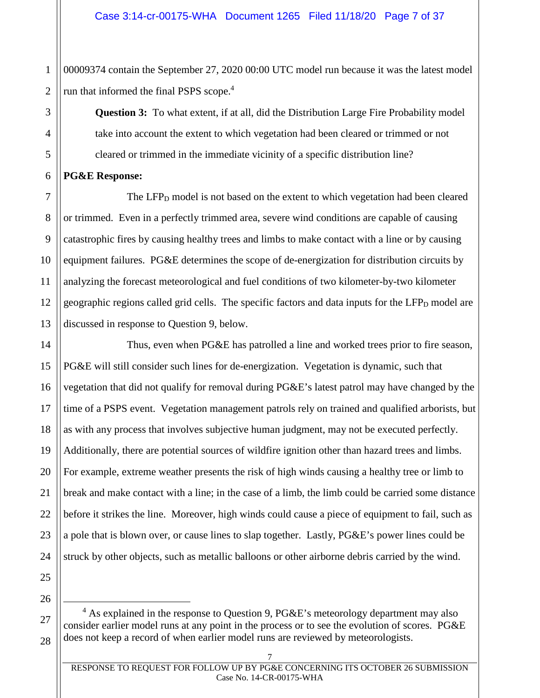1 2 00009374 contain the September 27, 2020 00:00 UTC model run because it was the latest model run that informed the final PSPS scope.<sup>4</sup>

> **Question 3:** To what extent, if at all, did the Distribution Large Fire Probability model take into account the extent to which vegetation had been cleared or trimmed or not cleared or trimmed in the immediate vicinity of a specific distribution line?

**PG&E Response:** 

3

4

5

6

7

8

9

10

11

12

13

14

15

16

17

18

19

20

21

22

23

The LFP $<sub>D</sub>$  model is not based on the extent to which vegetation had been cleared</sub> or trimmed. Even in a perfectly trimmed area, severe wind conditions are capable of causing catastrophic fires by causing healthy trees and limbs to make contact with a line or by causing equipment failures. PG&E determines the scope of de-energization for distribution circuits by analyzing the forecast meteorological and fuel conditions of two kilometer-by-two kilometer geographic regions called grid cells. The specific factors and data inputs for the LFP<sub>D</sub> model are discussed in response to Question 9, below.

Thus, even when PG&E has patrolled a line and worked trees prior to fire season, PG&E will still consider such lines for de-energization. Vegetation is dynamic, such that vegetation that did not qualify for removal during PG&E's latest patrol may have changed by the time of a PSPS event. Vegetation management patrols rely on trained and qualified arborists, but as with any process that involves subjective human judgment, may not be executed perfectly. Additionally, there are potential sources of wildfire ignition other than hazard trees and limbs. For example, extreme weather presents the risk of high winds causing a healthy tree or limb to break and make contact with a line; in the case of a limb, the limb could be carried some distance before it strikes the line. Moreover, high winds could cause a piece of equipment to fail, such as a pole that is blown over, or cause lines to slap together. Lastly, PG&E's power lines could be struck by other objects, such as metallic balloons or other airborne debris carried by the wind.

25 26

 $4$  As explained in the response to Question 9, PG&E's meteorology department may also consider earlier model runs at any point in the process or to see the evolution of scores. PG&E does not keep a record of when earlier model runs are reviewed by meteorologists.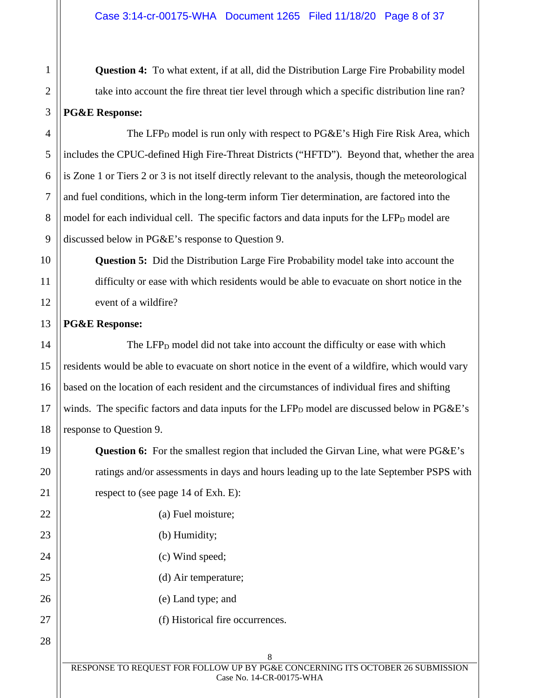**Question 4:** To what extent, if at all, did the Distribution Large Fire Probability model take into account the fire threat tier level through which a specific distribution line ran? **PG&E Response:** 

The LFP<sub>D</sub> model is run only with respect to  $PGEE$ 's High Fire Risk Area, which includes the CPUC-defined High Fire-Threat Districts ("HFTD"). Beyond that, whether the area is Zone 1 or Tiers 2 or 3 is not itself directly relevant to the analysis, though the meteorological and fuel conditions, which in the long-term inform Tier determination, are factored into the model for each individual cell. The specific factors and data inputs for the  $LFP<sub>D</sub>$  model are discussed below in PG&E's response to Question 9.

**Question 5:** Did the Distribution Large Fire Probability model take into account the difficulty or ease with which residents would be able to evacuate on short notice in the event of a wildfire?

# **PG&E Response:**

The LFP $<sub>D</sub>$  model did not take into account the difficulty or ease with which</sub> residents would be able to evacuate on short notice in the event of a wildfire, which would vary based on the location of each resident and the circumstances of individual fires and shifting winds. The specific factors and data inputs for the  $LFP<sub>D</sub>$  model are discussed below in  $PG\&E$ 's response to Question 9.

**Question 6:** For the smallest region that included the Girvan Line, what were PG&E's ratings and/or assessments in days and hours leading up to the late September PSPS with respect to (see page 14 of Exh. E):

(a) Fuel moisture;

- (b) Humidity;
- (c) Wind speed;
- (d) Air temperature;
- (e) Land type; and
	- (f) Historical fire occurrences.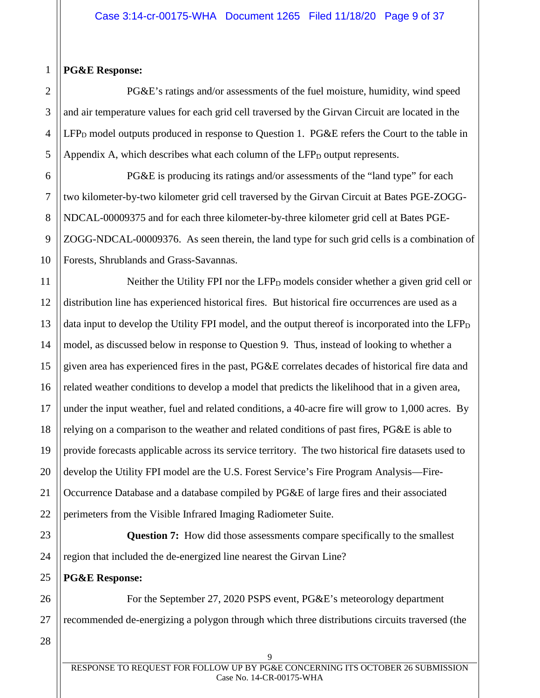#### 1 **PG&E Response:**

2

3

4

5

6

7

8

9

PG&E's ratings and/or assessments of the fuel moisture, humidity, wind speed and air temperature values for each grid cell traversed by the Girvan Circuit are located in the  $LFP<sub>D</sub>$  model outputs produced in response to Question 1. PG&E refers the Court to the table in Appendix A, which describes what each column of the  $LFP<sub>D</sub>$  output represents.

10 PG&E is producing its ratings and/or assessments of the "land type" for each two kilometer-by-two kilometer grid cell traversed by the Girvan Circuit at Bates PGE-ZOGG-NDCAL-00009375 and for each three kilometer-by-three kilometer grid cell at Bates PGE-ZOGG-NDCAL-00009376. As seen therein, the land type for such grid cells is a combination of Forests, Shrublands and Grass-Savannas.

11 12 13 14 15 16 17 18 19 20 21 22 Neither the Utility FPI nor the  $LFP<sub>D</sub>$  models consider whether a given grid cell or distribution line has experienced historical fires. But historical fire occurrences are used as a data input to develop the Utility FPI model, and the output thereof is incorporated into the LFP<sub>D</sub> model, as discussed below in response to Question 9. Thus, instead of looking to whether a given area has experienced fires in the past, PG&E correlates decades of historical fire data and related weather conditions to develop a model that predicts the likelihood that in a given area, under the input weather, fuel and related conditions, a 40-acre fire will grow to 1,000 acres. By relying on a comparison to the weather and related conditions of past fires, PG&E is able to provide forecasts applicable across its service territory. The two historical fire datasets used to develop the Utility FPI model are the U.S. Forest Service's Fire Program Analysis—Fire-Occurrence Database and a database compiled by PG&E of large fires and their associated perimeters from the Visible Infrared Imaging Radiometer Suite.

23 24 **Question 7:** How did those assessments compare specifically to the smallest region that included the de-energized line nearest the Girvan Line?

**PG&E Response:** 

26 27 For the September 27, 2020 PSPS event, PG&E's meteorology department recommended de-energizing a polygon through which three distributions circuits traversed (the

28

25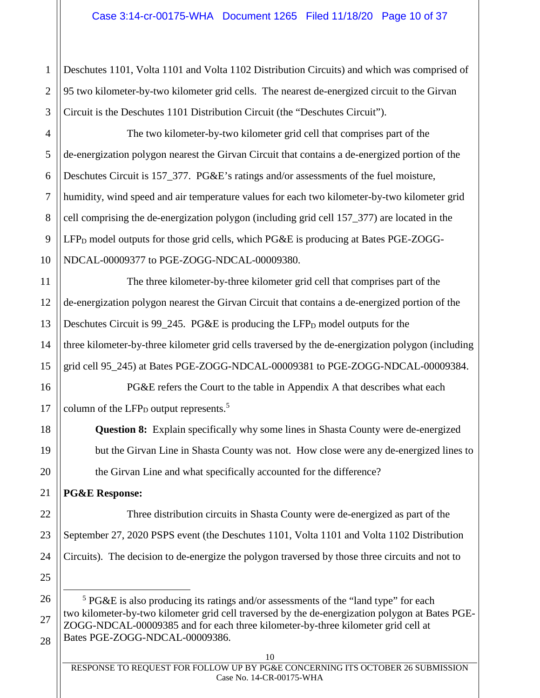1 2 3 Deschutes 1101, Volta 1101 and Volta 1102 Distribution Circuits) and which was comprised of 95 two kilometer-by-two kilometer grid cells. The nearest de-energized circuit to the Girvan Circuit is the Deschutes 1101 Distribution Circuit (the "Deschutes Circuit").

4 5 6 7 8 9 The two kilometer-by-two kilometer grid cell that comprises part of the de-energization polygon nearest the Girvan Circuit that contains a de-energized portion of the Deschutes Circuit is 157\_377. PG&E's ratings and/or assessments of the fuel moisture, humidity, wind speed and air temperature values for each two kilometer-by-two kilometer grid cell comprising the de-energization polygon (including grid cell 157\_377) are located in the  $LFP<sub>D</sub>$  model outputs for those grid cells, which PG&E is producing at Bates PGE-ZOGG-NDCAL-00009377 to PGE-ZOGG-NDCAL-00009380.

The three kilometer-by-three kilometer grid cell that comprises part of the de-energization polygon nearest the Girvan Circuit that contains a de-energized portion of the Deschutes Circuit is  $99_245$ . PG&E is producing the LFP<sub>D</sub> model outputs for the three kilometer-by-three kilometer grid cells traversed by the de-energization polygon (including grid cell 95\_245) at Bates PGE-ZOGG-NDCAL-00009381 to PGE-ZOGG-NDCAL-00009384.

PG&E refers the Court to the table in Appendix A that describes what each column of the LFP $_D$  output represents.<sup>5</sup>

**Question 8:** Explain specifically why some lines in Shasta County were de-energized but the Girvan Line in Shasta County was not. How close were any de-energized lines to the Girvan Line and what specifically accounted for the difference?

**PG&E Response:** 

Three distribution circuits in Shasta County were de-energized as part of the September 27, 2020 PSPS event (the Deschutes 1101, Volta 1101 and Volta 1102 Distribution Circuits). The decision to de-energize the polygon traversed by those three circuits and not to

<sup>5</sup> PG&E is also producing its ratings and/or assessments of the "land type" for each two kilometer-by-two kilometer grid cell traversed by the de-energization polygon at Bates PGE-ZOGG-NDCAL-00009385 and for each three kilometer-by-three kilometer grid cell at Bates PGE-ZOGG-NDCAL-00009386.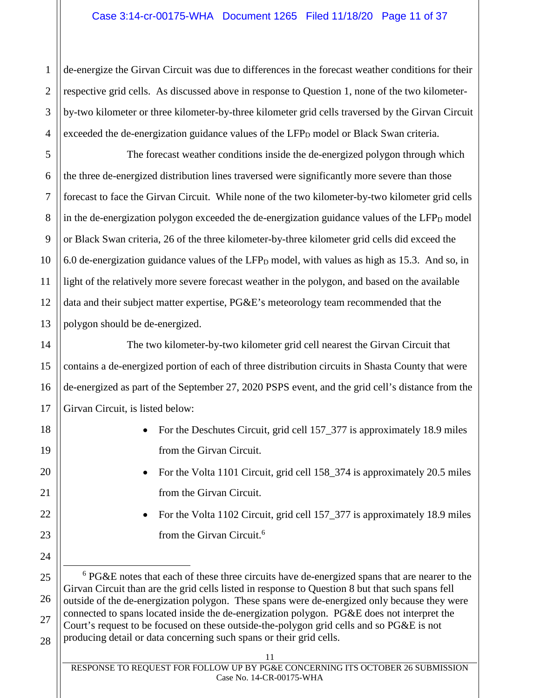## Case 3:14-cr-00175-WHA Document 1265 Filed 11/18/20 Page 11 of 37

de-energize the Girvan Circuit was due to differences in the forecast weather conditions for their respective grid cells. As discussed above in response to Question 1, none of the two kilometerby-two kilometer or three kilometer-by-three kilometer grid cells traversed by the Girvan Circuit exceeded the de-energization guidance values of the LFP<sub>D</sub> model or Black Swan criteria.

The forecast weather conditions inside the de-energized polygon through which the three de-energized distribution lines traversed were significantly more severe than those forecast to face the Girvan Circuit. While none of the two kilometer-by-two kilometer grid cells in the de-energization polygon exceeded the de-energization guidance values of the  $LFP<sub>D</sub>$  model or Black Swan criteria, 26 of the three kilometer-by-three kilometer grid cells did exceed the 6.0 de-energization guidance values of the LFP<sub>D</sub> model, with values as high as 15.3. And so, in light of the relatively more severe forecast weather in the polygon, and based on the available data and their subject matter expertise, PG&E's meteorology team recommended that the polygon should be de-energized.

The two kilometer-by-two kilometer grid cell nearest the Girvan Circuit that contains a de-energized portion of each of three distribution circuits in Shasta County that were de-energized as part of the September 27, 2020 PSPS event, and the grid cell's distance from the Girvan Circuit, is listed below:

- For the Deschutes Circuit, grid cell 157\_377 is approximately 18.9 miles from the Girvan Circuit.
- For the Volta 1101 Circuit, grid cell 158\_374 is approximately 20.5 miles from the Girvan Circuit.
- For the Volta 1102 Circuit, grid cell 157\_377 is approximately 18.9 miles from the Girvan Circuit.<sup>6</sup>

1

2

3

4

5

<sup>26</sup> 27 28 <sup>6</sup> PG&E notes that each of these three circuits have de-energized spans that are nearer to the Girvan Circuit than are the grid cells listed in response to Question 8 but that such spans fell outside of the de-energization polygon. These spans were de-energized only because they were connected to spans located inside the de-energization polygon. PG&E does not interpret the Court's request to be focused on these outside-the-polygon grid cells and so PG&E is not producing detail or data concerning such spans or their grid cells.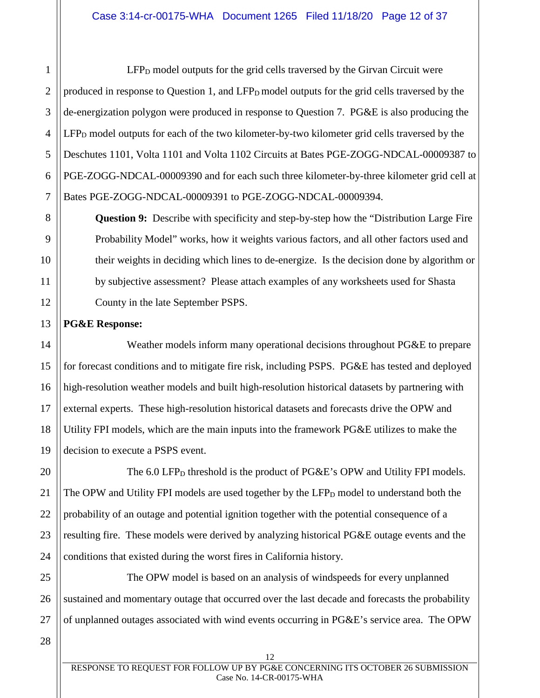2 3 4 5 6 7 LFP<sub>D</sub> model outputs for the grid cells traversed by the Girvan Circuit were produced in response to Question 1, and LFP<sub>D</sub> model outputs for the grid cells traversed by the de-energization polygon were produced in response to Question 7. PG&E is also producing the  $LFP<sub>D</sub>$  model outputs for each of the two kilometer-by-two kilometer grid cells traversed by the Deschutes 1101, Volta 1101 and Volta 1102 Circuits at Bates PGE-ZOGG-NDCAL-00009387 to PGE-ZOGG-NDCAL-00009390 and for each such three kilometer-by-three kilometer grid cell at Bates PGE-ZOGG-NDCAL-00009391 to PGE-ZOGG-NDCAL-00009394.

**Question 9:** Describe with specificity and step-by-step how the "Distribution Large Fire Probability Model" works, how it weights various factors, and all other factors used and their weights in deciding which lines to de-energize. Is the decision done by algorithm or by subjective assessment? Please attach examples of any worksheets used for Shasta County in the late September PSPS.

# **PG&E Response:**

1

8

9

10

11

12

13

14

15

16

17

18

19

20

21

22

23

24

Weather models inform many operational decisions throughout PG&E to prepare for forecast conditions and to mitigate fire risk, including PSPS. PG&E has tested and deployed high-resolution weather models and built high-resolution historical datasets by partnering with external experts. These high-resolution historical datasets and forecasts drive the OPW and Utility FPI models, which are the main inputs into the framework PG&E utilizes to make the decision to execute a PSPS event.

The  $6.0$  LFP<sub>D</sub> threshold is the product of PG&E's OPW and Utility FPI models. The OPW and Utility FPI models are used together by the  $LFP<sub>D</sub>$  model to understand both the probability of an outage and potential ignition together with the potential consequence of a resulting fire. These models were derived by analyzing historical PG&E outage events and the conditions that existed during the worst fires in California history.

25 26 27 The OPW model is based on an analysis of windspeeds for every unplanned sustained and momentary outage that occurred over the last decade and forecasts the probability of unplanned outages associated with wind events occurring in PG&E's service area. The OPW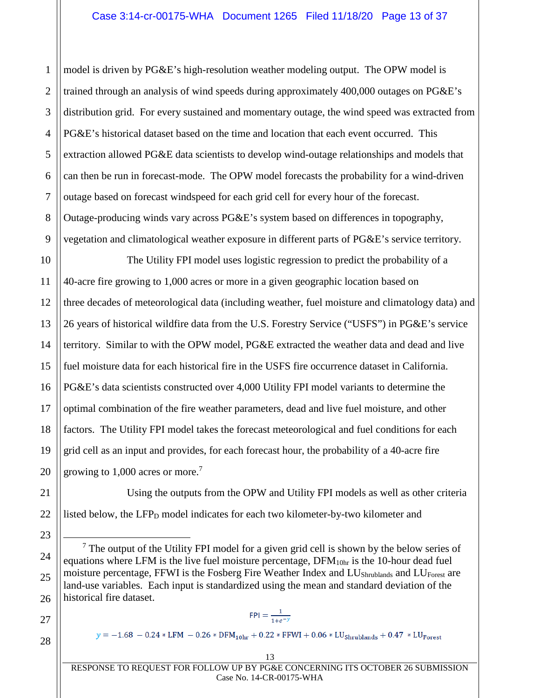6 8 9 model is driven by PG&E's high-resolution weather modeling output. The OPW model is trained through an analysis of wind speeds during approximately 400,000 outages on PG&E's distribution grid. For every sustained and momentary outage, the wind speed was extracted from PG&E's historical dataset based on the time and location that each event occurred. This extraction allowed PG&E data scientists to develop wind-outage relationships and models that can then be run in forecast-mode. The OPW model forecasts the probability for a wind-driven outage based on forecast windspeed for each grid cell for every hour of the forecast. Outage-producing winds vary across PG&E's system based on differences in topography, vegetation and climatological weather exposure in different parts of PG&E's service territory.

10 11 12 13 14 15 16 17 18 19 20 The Utility FPI model uses logistic regression to predict the probability of a 40-acre fire growing to 1,000 acres or more in a given geographic location based on three decades of meteorological data (including weather, fuel moisture and climatology data) and 26 years of historical wildfire data from the U.S. Forestry Service ("USFS") in PG&E's service territory. Similar to with the OPW model, PG&E extracted the weather data and dead and live fuel moisture data for each historical fire in the USFS fire occurrence dataset in California. PG&E's data scientists constructed over 4,000 Utility FPI model variants to determine the optimal combination of the fire weather parameters, dead and live fuel moisture, and other factors. The Utility FPI model takes the forecast meteorological and fuel conditions for each grid cell as an input and provides, for each forecast hour, the probability of a 40-acre fire growing to 1,000 acres or more.<sup>7</sup>

Using the outputs from the OPW and Utility FPI models as well as other criteria listed below, the  $LFP<sub>D</sub>$  model indicates for each two kilometer-by-two kilometer and

 $<sup>7</sup>$  The output of the Utility FPI model for a given grid cell is shown by the below series of</sup> equations where LFM is the live fuel moisture percentage, DFM<sub>10hr</sub> is the 10-hour dead fuel moisture percentage, FFWI is the Fosberg Fire Weather Index and LU<sub>Shrublands</sub> and LU<sub>Forest</sub> are land-use variables. Each input is standardized using the mean and standard deviation of the historical fire dataset.

28

21

22

23

24

25

26

27

1

2

3

4

5

7

 $FPI = \frac{1}{1+e^{-y}}$ 

 $y = -1.68 - 0.24 * LFM - 0.26 * DFM<sub>10hr</sub> + 0.22 * FFWI + 0.06 * LU<sub>Shrublands</sub> + 0.47 * LU<sub>forest</sub>$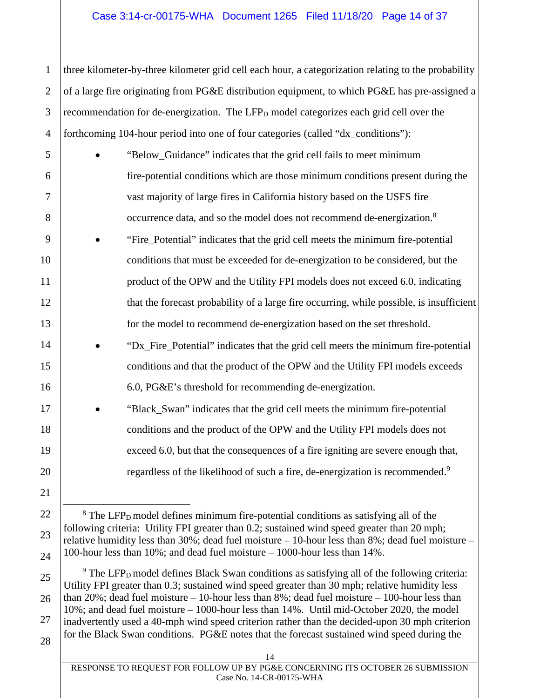## Case 3:14-cr-00175-WHA Document 1265 Filed 11/18/20 Page 14 of 37

three kilometer-by-three kilometer grid cell each hour, a categorization relating to the probability of a large fire originating from PG&E distribution equipment, to which PG&E has pre-assigned a recommendation for de-energization. The LFP<sub>D</sub> model categorizes each grid cell over the forthcoming 104-hour period into one of four categories (called "dx\_conditions"):

- "Below\_Guidance" indicates that the grid cell fails to meet minimum fire-potential conditions which are those minimum conditions present during the vast majority of large fires in California history based on the USFS fire occurrence data, and so the model does not recommend de-energization.<sup>8</sup>
	- "Fire\_Potential" indicates that the grid cell meets the minimum fire-potential conditions that must be exceeded for de-energization to be considered, but the product of the OPW and the Utility FPI models does not exceed 6.0, indicating that the forecast probability of a large fire occurring, while possible, is insufficient for the model to recommend de-energization based on the set threshold.
		- "Dx\_Fire\_Potential" indicates that the grid cell meets the minimum fire-potential conditions and that the product of the OPW and the Utility FPI models exceeds 6.0, PG&E's threshold for recommending de-energization.
			- "Black Swan" indicates that the grid cell meets the minimum fire-potential conditions and the product of the OPW and the Utility FPI models does not exceed 6.0, but that the consequences of a fire igniting are severe enough that, regardless of the likelihood of such a fire, de-energization is recommended.<sup>9</sup>

 $9$  The LFP<sub>D</sub> model defines Black Swan conditions as satisfying all of the following criteria: Utility FPI greater than 0.3; sustained wind speed greater than 30 mph; relative humidity less than 20%; dead fuel moisture – 10-hour less than  $8\%$ ; dead fuel moisture – 100-hour less than 10%; and dead fuel moisture – 1000-hour less than 14%. Until mid-October 2020, the model inadvertently used a 40-mph wind speed criterion rather than the decided-upon 30 mph criterion for the Black Swan conditions. PG&E notes that the forecast sustained wind speed during the

28

1

2

3

4

5

6

7

8

9

10

11

12

13

14

15

16

17

18

19

20

21

22

23

24

25

26

27

 $8$  The LFP<sub>D</sub> model defines minimum fire-potential conditions as satisfying all of the following criteria: Utility FPI greater than 0.2; sustained wind speed greater than 20 mph; relative humidity less than 30%; dead fuel moisture – 10-hour less than 8%; dead fuel moisture – 100-hour less than 10%; and dead fuel moisture – 1000-hour less than 14%.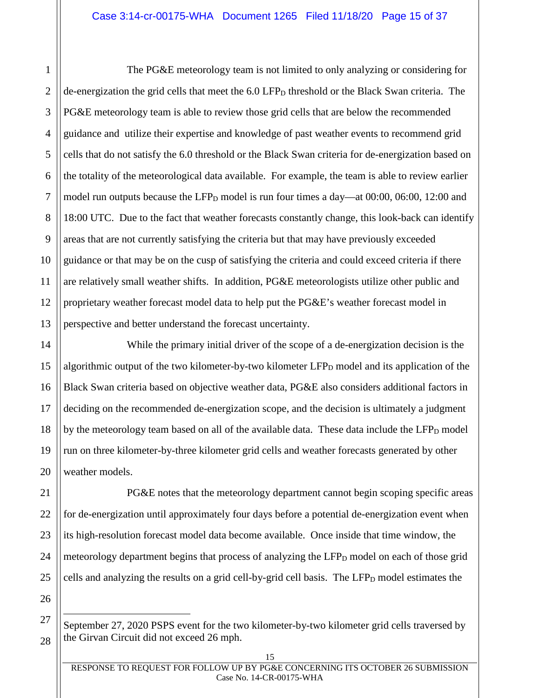The PG&E meteorology team is not limited to only analyzing or considering for de-energization the grid cells that meet the  $6.0 \text{ LFP}_D$  threshold or the Black Swan criteria. The PG&E meteorology team is able to review those grid cells that are below the recommended guidance and utilize their expertise and knowledge of past weather events to recommend grid cells that do not satisfy the 6.0 threshold or the Black Swan criteria for de-energization based on the totality of the meteorological data available. For example, the team is able to review earlier model run outputs because the LFP $_D$  model is run four times a day—at 00:00, 06:00, 12:00 and 18:00 UTC. Due to the fact that weather forecasts constantly change, this look-back can identify areas that are not currently satisfying the criteria but that may have previously exceeded guidance or that may be on the cusp of satisfying the criteria and could exceed criteria if there are relatively small weather shifts. In addition, PG&E meteorologists utilize other public and proprietary weather forecast model data to help put the PG&E's weather forecast model in perspective and better understand the forecast uncertainty.

While the primary initial driver of the scope of a de-energization decision is the algorithmic output of the two kilometer-by-two kilometer  $LFP<sub>D</sub>$  model and its application of the Black Swan criteria based on objective weather data, PG&E also considers additional factors in deciding on the recommended de-energization scope, and the decision is ultimately a judgment by the meteorology team based on all of the available data. These data include the  $LFP<sub>D</sub>$  model run on three kilometer-by-three kilometer grid cells and weather forecasts generated by other weather models.

PG&E notes that the meteorology department cannot begin scoping specific areas for de-energization until approximately four days before a potential de-energization event when its high-resolution forecast model data become available. Once inside that time window, the meteorology department begins that process of analyzing the LFP<sub>D</sub> model on each of those grid cells and analyzing the results on a grid cell-by-grid cell basis. The LFP<sub>D</sub> model estimates the

September 27, 2020 PSPS event for the two kilometer-by-two kilometer grid cells traversed by the Girvan Circuit did not exceed 26 mph.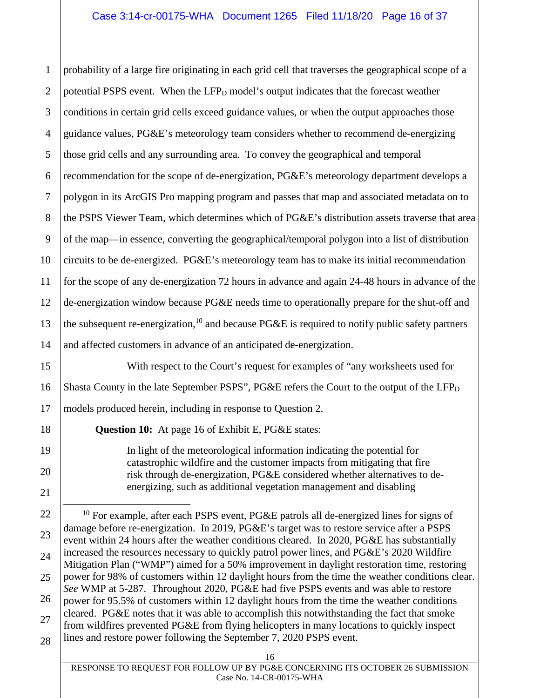1 2 3 4 5 6 7 8 9 10 11 12 13 14 probability of a large fire originating in each grid cell that traverses the geographical scope of a potential PSPS event. When the LFP<sub>D</sub> model's output indicates that the forecast weather conditions in certain grid cells exceed guidance values, or when the output approaches those guidance values, PG&E's meteorology team considers whether to recommend de-energizing those grid cells and any surrounding area. To convey the geographical and temporal recommendation for the scope of de-energization, PG&E's meteorology department develops a polygon in its ArcGIS Pro mapping program and passes that map and associated metadata on to the PSPS Viewer Team, which determines which of PG&E's distribution assets traverse that area of the map—in essence, converting the geographical/temporal polygon into a list of distribution circuits to be de-energized. PG&E's meteorology team has to make its initial recommendation for the scope of any de-energization 72 hours in advance and again 24-48 hours in advance of the de-energization window because PG&E needs time to operationally prepare for the shut-off and the subsequent re-energization,<sup>10</sup> and because PG&E is required to notify public safety partners and affected customers in advance of an anticipated de-energization.

With respect to the Court's request for examples of "any worksheets used for Shasta County in the late September PSPS", PG&E refers the Court to the output of the LFP $_D$ models produced herein, including in response to Question 2.

**Question 10:** At page 16 of Exhibit E, PG&E states:

15

16

17

18

19

20

21

In light of the meteorological information indicating the potential for catastrophic wildfire and the customer impacts from mitigating that fire risk through de-energization, PG&E considered whether alternatives to deenergizing, such as additional vegetation management and disabling

<sup>22</sup> 23 24 25 26 27 28 <sup>10</sup> For example, after each PSPS event, PG&E patrols all de-energized lines for signs of damage before re-energization. In 2019, PG&E's target was to restore service after a PSPS event within 24 hours after the weather conditions cleared. In 2020, PG&E has substantially increased the resources necessary to quickly patrol power lines, and PG&E's 2020 Wildfire Mitigation Plan ("WMP") aimed for a 50% improvement in daylight restoration time, restoring power for 98% of customers within 12 daylight hours from the time the weather conditions clear. *See* WMP at 5-287. Throughout 2020, PG&E had five PSPS events and was able to restore power for 95.5% of customers within 12 daylight hours from the time the weather conditions cleared. PG&E notes that it was able to accomplish this notwithstanding the fact that smoke from wildfires prevented PG&E from flying helicopters in many locations to quickly inspect lines and restore power following the September 7, 2020 PSPS event.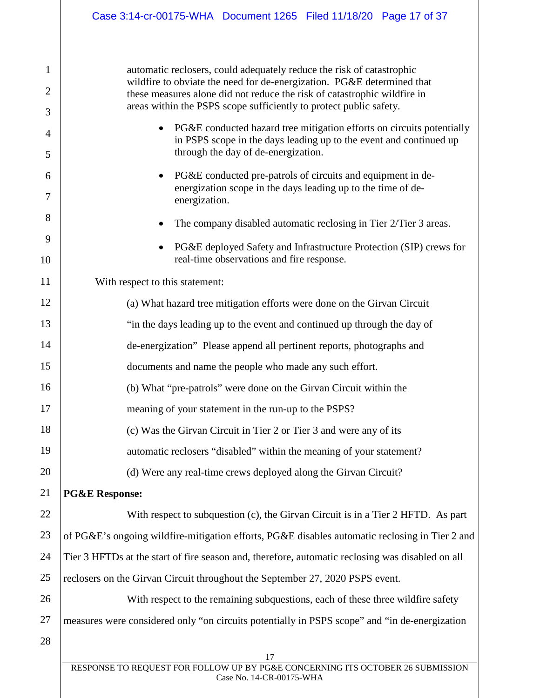automatic reclosers, could adequately reduce the risk of catastrophic wildfire to obviate the need for de-energization. PG&E determined that these measures alone did not reduce the risk of catastrophic wildfire in areas within the PSPS scope sufficiently to protect public safety.

- PG&E conducted hazard tree mitigation efforts on circuits potentially in PSPS scope in the days leading up to the event and continued up through the day of de-energization.
- PG&E conducted pre-patrols of circuits and equipment in deenergization scope in the days leading up to the time of deenergization.
- The company disabled automatic reclosing in Tier 2/Tier 3 areas.
- PG&E deployed Safety and Infrastructure Protection (SIP) crews for real-time observations and fire response.

With respect to this statement:

- (a) What hazard tree mitigation efforts were done on the Girvan Circuit "in the days leading up to the event and continued up through the day of de-energization" Please append all pertinent reports, photographs and documents and name the people who made any such effort.
- 16 (b) What "pre-patrols" were done on the Girvan Circuit within the
	- meaning of your statement in the run-up to the PSPS?
	- (c) Was the Girvan Circuit in Tier 2 or Tier 3 and were any of its
		- automatic reclosers "disabled" within the meaning of your statement?
			- (d) Were any real-time crews deployed along the Girvan Circuit?

# **PG&E Response:**

With respect to subquestion (c), the Girvan Circuit is in a Tier 2 HFTD. As part

23 24 25 of PG&E's ongoing wildfire-mitigation efforts, PG&E disables automatic reclosing in Tier 2 and Tier 3 HFTDs at the start of fire season and, therefore, automatic reclosing was disabled on all reclosers on the Girvan Circuit throughout the September 27, 2020 PSPS event.

26 27 With respect to the remaining subquestions, each of these three wildfire safety measures were considered only "on circuits potentially in PSPS scope" and "in de-energization

28

1

2

3

4

5

6

7

8

9

10

11

12

13

14

15

17

18

19

20

21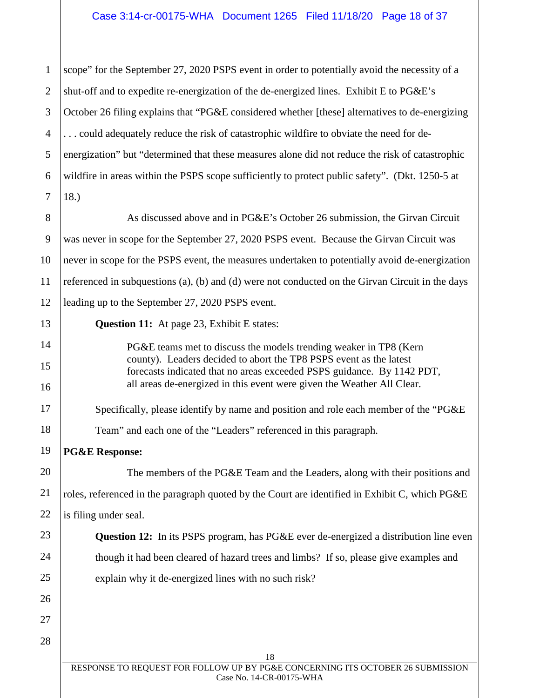1 2 3 4 5 6 7 scope" for the September 27, 2020 PSPS event in order to potentially avoid the necessity of a shut-off and to expedite re-energization of the de-energized lines. Exhibit E to PG&E's October 26 filing explains that "PG&E considered whether [these] alternatives to de-energizing . . . could adequately reduce the risk of catastrophic wildfire to obviate the need for deenergization" but "determined that these measures alone did not reduce the risk of catastrophic wildfire in areas within the PSPS scope sufficiently to protect public safety". (Dkt. 1250-5 at 18.)

8 9 10 11 12 As discussed above and in PG&E's October 26 submission, the Girvan Circuit was never in scope for the September 27, 2020 PSPS event. Because the Girvan Circuit was never in scope for the PSPS event, the measures undertaken to potentially avoid de-energization referenced in subquestions (a), (b) and (d) were not conducted on the Girvan Circuit in the days leading up to the September 27, 2020 PSPS event.

**Question 11:** At page 23, Exhibit E states:

PG&E teams met to discuss the models trending weaker in TP8 (Kern county). Leaders decided to abort the TP8 PSPS event as the latest forecasts indicated that no areas exceeded PSPS guidance. By 1142 PDT, all areas de-energized in this event were given the Weather All Clear.

Specifically, please identify by name and position and role each member of the "PG&E

Team" and each one of the "Leaders" referenced in this paragraph.

**PG&E Response:** 

The members of the PG&E Team and the Leaders, along with their positions and roles, referenced in the paragraph quoted by the Court are identified in Exhibit C, which PG&E is filing under seal.

**Question 12:** In its PSPS program, has PG&E ever de-energized a distribution line even though it had been cleared of hazard trees and limbs? If so, please give examples and explain why it de-energized lines with no such risk?

28

13

14

15

16

17

18

19

20

21

22

23

24

25

26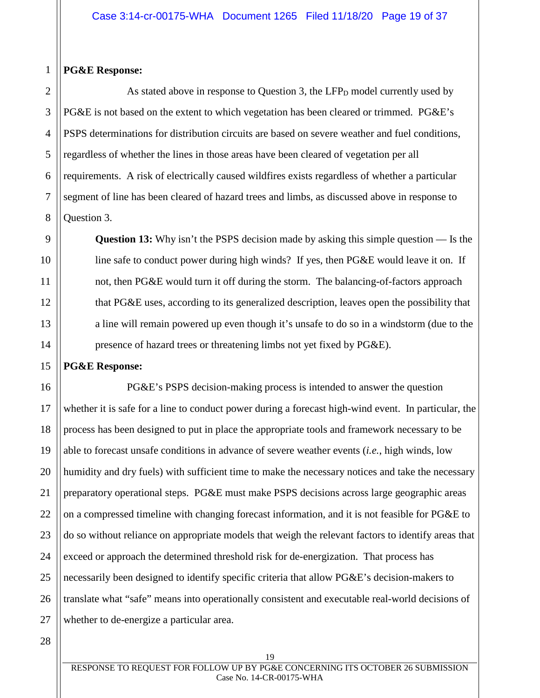## **PG&E Response:**

1

2

3

4

5

6

As stated above in response to Question 3, the  $LFP<sub>D</sub>$  model currently used by PG&E is not based on the extent to which vegetation has been cleared or trimmed. PG&E's PSPS determinations for distribution circuits are based on severe weather and fuel conditions, regardless of whether the lines in those areas have been cleared of vegetation per all requirements. A risk of electrically caused wildfires exists regardless of whether a particular segment of line has been cleared of hazard trees and limbs, as discussed above in response to Question 3.

**Question 13:** Why isn't the PSPS decision made by asking this simple question — Is the line safe to conduct power during high winds? If yes, then PG&E would leave it on. If not, then PG&E would turn it off during the storm. The balancing-of-factors approach that PG&E uses, according to its generalized description, leaves open the possibility that a line will remain powered up even though it's unsafe to do so in a windstorm (due to the presence of hazard trees or threatening limbs not yet fixed by PG&E).

# **PG&E Response:**

PG&E's PSPS decision-making process is intended to answer the question whether it is safe for a line to conduct power during a forecast high-wind event. In particular, the process has been designed to put in place the appropriate tools and framework necessary to be able to forecast unsafe conditions in advance of severe weather events (*i.e.*, high winds, low humidity and dry fuels) with sufficient time to make the necessary notices and take the necessary preparatory operational steps. PG&E must make PSPS decisions across large geographic areas on a compressed timeline with changing forecast information, and it is not feasible for PG&E to do so without reliance on appropriate models that weigh the relevant factors to identify areas that exceed or approach the determined threshold risk for de-energization. That process has necessarily been designed to identify specific criteria that allow PG&E's decision-makers to translate what "safe" means into operationally consistent and executable real-world decisions of whether to de-energize a particular area.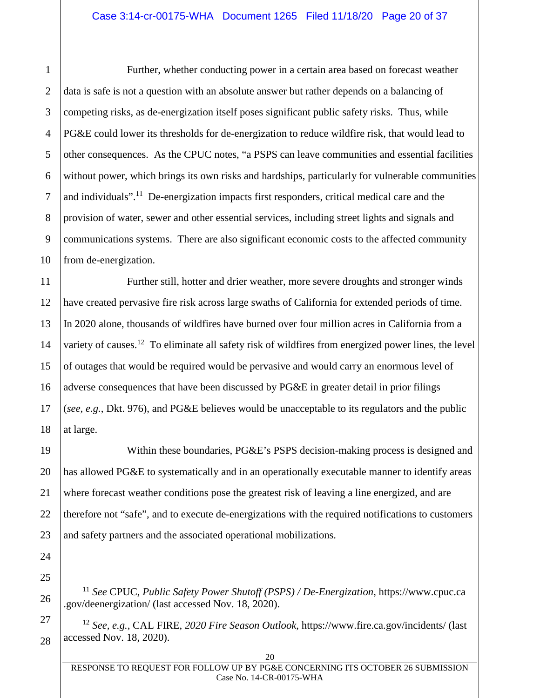#### Case 3:14-cr-00175-WHA Document 1265 Filed 11/18/20 Page 20 of 37

Further, whether conducting power in a certain area based on forecast weather data is safe is not a question with an absolute answer but rather depends on a balancing of competing risks, as de-energization itself poses significant public safety risks. Thus, while PG&E could lower its thresholds for de-energization to reduce wildfire risk, that would lead to other consequences. As the CPUC notes, "a PSPS can leave communities and essential facilities without power, which brings its own risks and hardships, particularly for vulnerable communities and individuals".<sup>11</sup> De-energization impacts first responders, critical medical care and the provision of water, sewer and other essential services, including street lights and signals and communications systems. There are also significant economic costs to the affected community from de-energization.

Further still, hotter and drier weather, more severe droughts and stronger winds have created pervasive fire risk across large swaths of California for extended periods of time. In 2020 alone, thousands of wildfires have burned over four million acres in California from a variety of causes.<sup>12</sup> To eliminate all safety risk of wildfires from energized power lines, the level of outages that would be required would be pervasive and would carry an enormous level of adverse consequences that have been discussed by PG&E in greater detail in prior filings (*see, e.g.*, Dkt. 976), and PG&E believes would be unacceptable to its regulators and the public at large.

Within these boundaries, PG&E's PSPS decision-making process is designed and has allowed PG&E to systematically and in an operationally executable manner to identify areas where forecast weather conditions pose the greatest risk of leaving a line energized, and are therefore not "safe", and to execute de-energizations with the required notifications to customers and safety partners and the associated operational mobilizations.

<sup>11</sup> *See* CPUC, *Public Safety Power Shutoff (PSPS) / De-Energization*, https://www.cpuc.ca .gov/deenergization/ (last accessed Nov. 18, 2020).

<sup>12</sup> *See, e.g.*, CAL FIRE, *2020 Fire Season Outlook*, https://www.fire.ca.gov/incidents/ (last accessed Nov. 18, 2020).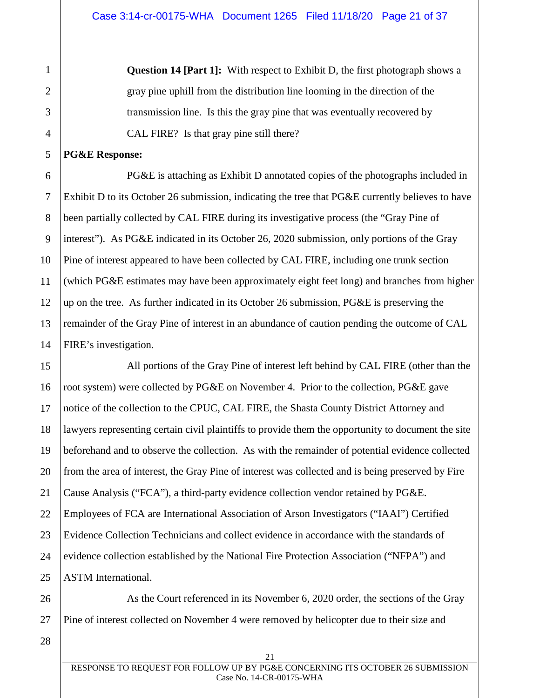**Question 14 [Part 1]:** With respect to Exhibit D, the first photograph shows a gray pine uphill from the distribution line looming in the direction of the transmission line. Is this the gray pine that was eventually recovered by CAL FIRE? Is that gray pine still there?

#### **PG&E Response:**

1

2

3

4

5

6

7

8

9

10

11

12

13

14 PG&E is attaching as Exhibit D annotated copies of the photographs included in Exhibit D to its October 26 submission, indicating the tree that PG&E currently believes to have been partially collected by CAL FIRE during its investigative process (the "Gray Pine of interest"). As PG&E indicated in its October 26, 2020 submission, only portions of the Gray Pine of interest appeared to have been collected by CAL FIRE, including one trunk section (which PG&E estimates may have been approximately eight feet long) and branches from higher up on the tree. As further indicated in its October 26 submission, PG&E is preserving the remainder of the Gray Pine of interest in an abundance of caution pending the outcome of CAL FIRE's investigation.

15 16 17 18 19 20 21 22 23 24 25 All portions of the Gray Pine of interest left behind by CAL FIRE (other than the root system) were collected by PG&E on November 4. Prior to the collection, PG&E gave notice of the collection to the CPUC, CAL FIRE, the Shasta County District Attorney and lawyers representing certain civil plaintiffs to provide them the opportunity to document the site beforehand and to observe the collection. As with the remainder of potential evidence collected from the area of interest, the Gray Pine of interest was collected and is being preserved by Fire Cause Analysis ("FCA"), a third-party evidence collection vendor retained by PG&E. Employees of FCA are International Association of Arson Investigators ("IAAI") Certified Evidence Collection Technicians and collect evidence in accordance with the standards of evidence collection established by the National Fire Protection Association ("NFPA") and ASTM International.

26 27 As the Court referenced in its November 6, 2020 order, the sections of the Gray Pine of interest collected on November 4 were removed by helicopter due to their size and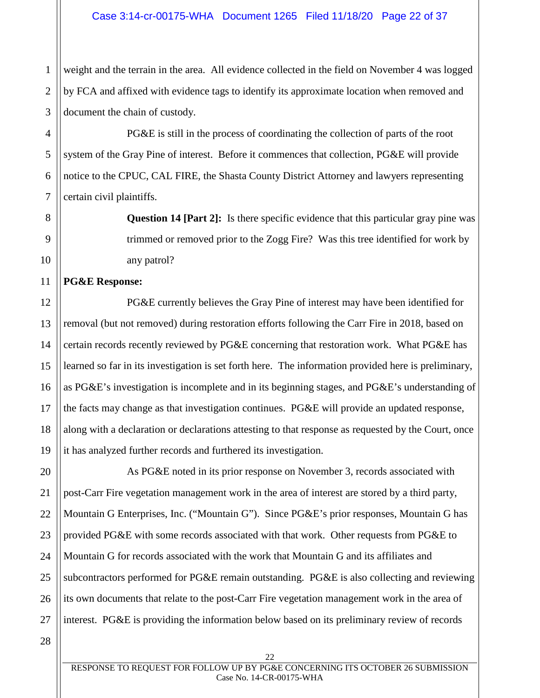2 3 weight and the terrain in the area. All evidence collected in the field on November 4 was logged by FCA and affixed with evidence tags to identify its approximate location when removed and document the chain of custody.

PG&E is still in the process of coordinating the collection of parts of the root system of the Gray Pine of interest. Before it commences that collection, PG&E will provide notice to the CPUC, CAL FIRE, the Shasta County District Attorney and lawyers representing certain civil plaintiffs.

> **Question 14 [Part 2]:** Is there specific evidence that this particular gray pine was trimmed or removed prior to the Zogg Fire? Was this tree identified for work by any patrol?

# **PG&E Response:**

1

4

5

6

7

8

9

10

11

12

13

14

15

16

17

18

19

PG&E currently believes the Gray Pine of interest may have been identified for removal (but not removed) during restoration efforts following the Carr Fire in 2018, based on certain records recently reviewed by PG&E concerning that restoration work. What PG&E has learned so far in its investigation is set forth here. The information provided here is preliminary, as PG&E's investigation is incomplete and in its beginning stages, and PG&E's understanding of the facts may change as that investigation continues. PG&E will provide an updated response, along with a declaration or declarations attesting to that response as requested by the Court, once it has analyzed further records and furthered its investigation.

20 21 22 23 24 25 26 27 As PG&E noted in its prior response on November 3, records associated with post-Carr Fire vegetation management work in the area of interest are stored by a third party, Mountain G Enterprises, Inc. ("Mountain G"). Since PG&E's prior responses, Mountain G has provided PG&E with some records associated with that work. Other requests from PG&E to Mountain G for records associated with the work that Mountain G and its affiliates and subcontractors performed for PG&E remain outstanding. PG&E is also collecting and reviewing its own documents that relate to the post-Carr Fire vegetation management work in the area of interest. PG&E is providing the information below based on its preliminary review of records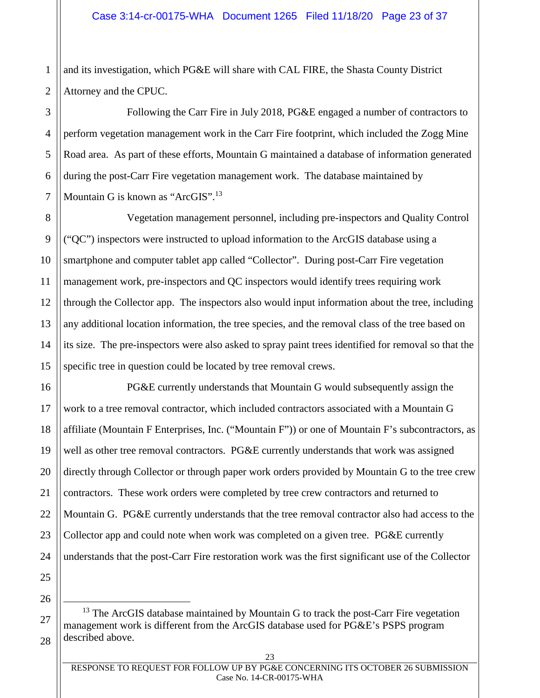1 2 and its investigation, which PG&E will share with CAL FIRE, the Shasta County District Attorney and the CPUC.

3 4 5 6 7 Following the Carr Fire in July 2018, PG&E engaged a number of contractors to perform vegetation management work in the Carr Fire footprint, which included the Zogg Mine Road area. As part of these efforts, Mountain G maintained a database of information generated during the post-Carr Fire vegetation management work. The database maintained by Mountain G is known as "ArcGIS".<sup>13</sup>

Vegetation management personnel, including pre-inspectors and Quality Control ("QC") inspectors were instructed to upload information to the ArcGIS database using a smartphone and computer tablet app called "Collector". During post-Carr Fire vegetation management work, pre-inspectors and QC inspectors would identify trees requiring work through the Collector app. The inspectors also would input information about the tree, including any additional location information, the tree species, and the removal class of the tree based on its size. The pre-inspectors were also asked to spray paint trees identified for removal so that the specific tree in question could be located by tree removal crews.

16 17 18 19 20 22 23 24 PG&E currently understands that Mountain G would subsequently assign the work to a tree removal contractor, which included contractors associated with a Mountain G affiliate (Mountain F Enterprises, Inc. ("Mountain F")) or one of Mountain F's subcontractors, as well as other tree removal contractors. PG&E currently understands that work was assigned directly through Collector or through paper work orders provided by Mountain G to the tree crew contractors. These work orders were completed by tree crew contractors and returned to Mountain G. PG&E currently understands that the tree removal contractor also had access to the Collector app and could note when work was completed on a given tree. PG&E currently understands that the post-Carr Fire restoration work was the first significant use of the Collector

25 26

27

28

21

8

9

10

11

12

13

14

 $13$  The ArcGIS database maintained by Mountain G to track the post-Carr Fire vegetation management work is different from the ArcGIS database used for PG&E's PSPS program described above.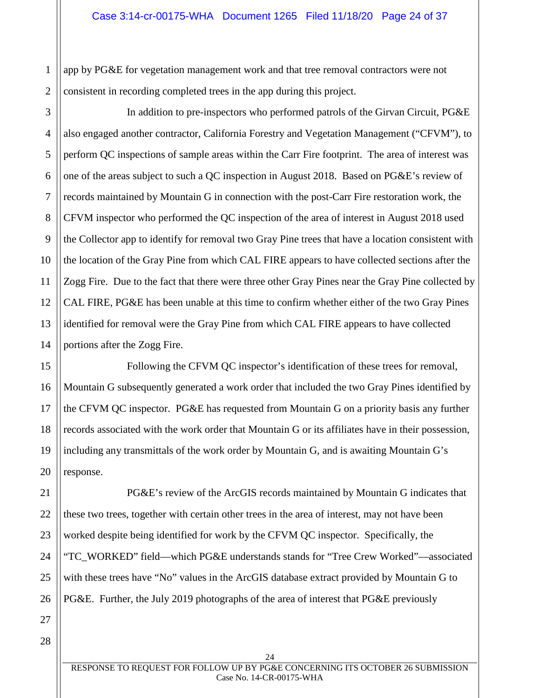app by PG&E for vegetation management work and that tree removal contractors were not consistent in recording completed trees in the app during this project.

3 4 5 6 7 8 9 10 11 12 13 14 In addition to pre-inspectors who performed patrols of the Girvan Circuit, PG&E also engaged another contractor, California Forestry and Vegetation Management ("CFVM"), to perform QC inspections of sample areas within the Carr Fire footprint. The area of interest was one of the areas subject to such a QC inspection in August 2018. Based on PG&E's review of records maintained by Mountain G in connection with the post-Carr Fire restoration work, the CFVM inspector who performed the QC inspection of the area of interest in August 2018 used the Collector app to identify for removal two Gray Pine trees that have a location consistent with the location of the Gray Pine from which CAL FIRE appears to have collected sections after the Zogg Fire. Due to the fact that there were three other Gray Pines near the Gray Pine collected by CAL FIRE, PG&E has been unable at this time to confirm whether either of the two Gray Pines identified for removal were the Gray Pine from which CAL FIRE appears to have collected portions after the Zogg Fire.

16 17 18 19 20 Following the CFVM QC inspector's identification of these trees for removal, Mountain G subsequently generated a work order that included the two Gray Pines identified by the CFVM QC inspector. PG&E has requested from Mountain G on a priority basis any further records associated with the work order that Mountain G or its affiliates have in their possession, including any transmittals of the work order by Mountain G, and is awaiting Mountain G's response.

PG&E's review of the ArcGIS records maintained by Mountain G indicates that these two trees, together with certain other trees in the area of interest, may not have been worked despite being identified for work by the CFVM QC inspector. Specifically, the "TC\_WORKED" field—which PG&E understands stands for "Tree Crew Worked"—associated with these trees have "No" values in the ArcGIS database extract provided by Mountain G to PG&E. Further, the July 2019 photographs of the area of interest that PG&E previously

21

22

15

1

2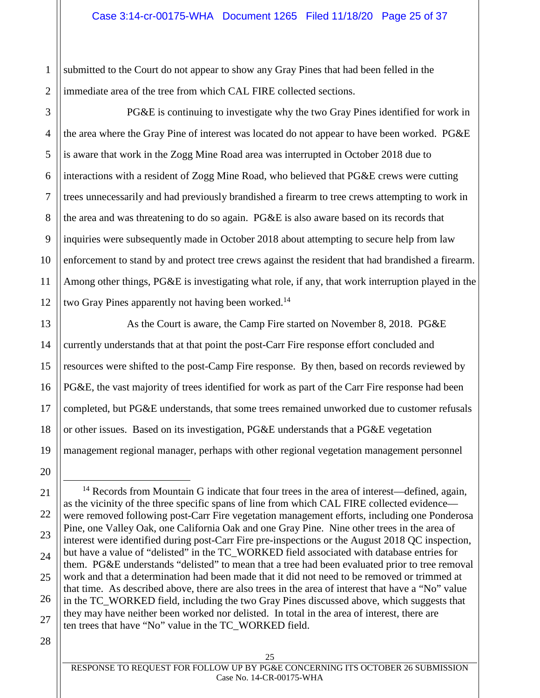1 2 submitted to the Court do not appear to show any Gray Pines that had been felled in the immediate area of the tree from which CAL FIRE collected sections.

3 4 5 6 7 8 9 10 11 12 PG&E is continuing to investigate why the two Gray Pines identified for work in the area where the Gray Pine of interest was located do not appear to have been worked. PG&E is aware that work in the Zogg Mine Road area was interrupted in October 2018 due to interactions with a resident of Zogg Mine Road, who believed that PG&E crews were cutting trees unnecessarily and had previously brandished a firearm to tree crews attempting to work in the area and was threatening to do so again. PG&E is also aware based on its records that inquiries were subsequently made in October 2018 about attempting to secure help from law enforcement to stand by and protect tree crews against the resident that had brandished a firearm. Among other things, PG&E is investigating what role, if any, that work interruption played in the two Gray Pines apparently not having been worked.<sup>14</sup>

As the Court is aware, the Camp Fire started on November 8, 2018. PG&E currently understands that at that point the post-Carr Fire response effort concluded and resources were shifted to the post-Camp Fire response. By then, based on records reviewed by PG&E, the vast majority of trees identified for work as part of the Carr Fire response had been completed, but PG&E understands, that some trees remained unworked due to customer refusals or other issues. Based on its investigation, PG&E understands that a PG&E vegetation management regional manager, perhaps with other regional vegetation management personnel

25

26

27

28

13

14

15

 $14$  Records from Mountain G indicate that four trees in the area of interest—defined, again, as the vicinity of the three specific spans of line from which CAL FIRE collected evidence were removed following post-Carr Fire vegetation management efforts, including one Ponderosa Pine, one Valley Oak, one California Oak and one Gray Pine. Nine other trees in the area of interest were identified during post-Carr Fire pre-inspections or the August 2018 QC inspection, but have a value of "delisted" in the TC\_WORKED field associated with database entries for them. PG&E understands "delisted" to mean that a tree had been evaluated prior to tree removal work and that a determination had been made that it did not need to be removed or trimmed at that time. As described above, there are also trees in the area of interest that have a "No" value in the TC\_WORKED field, including the two Gray Pines discussed above, which suggests that they may have neither been worked nor delisted. In total in the area of interest, there are ten trees that have "No" value in the TC\_WORKED field.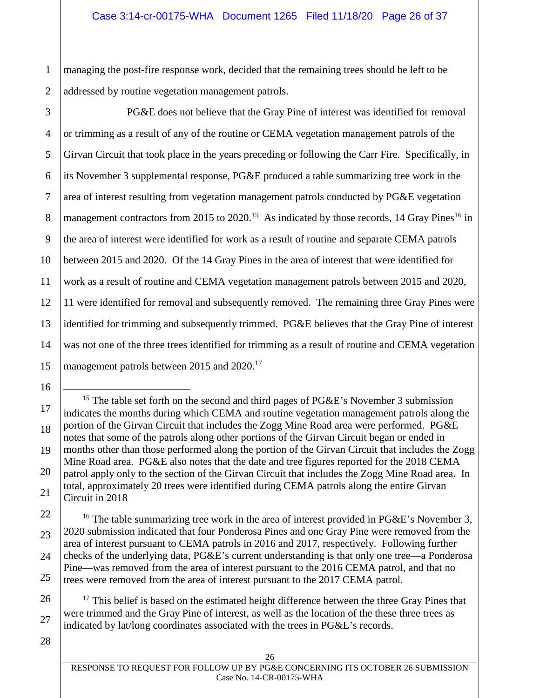1 2 managing the post-fire response work, decided that the remaining trees should be left to be addressed by routine vegetation management patrols.

3 4 5 6 7 8 9 10 11 12 13 14 15 PG&E does not believe that the Gray Pine of interest was identified for removal or trimming as a result of any of the routine or CEMA vegetation management patrols of the Girvan Circuit that took place in the years preceding or following the Carr Fire. Specifically, in its November 3 supplemental response, PG&E produced a table summarizing tree work in the area of interest resulting from vegetation management patrols conducted by PG&E vegetation management contractors from 2015 to 2020.<sup>15</sup> As indicated by those records, 14 Gray Pines<sup>16</sup> in the area of interest were identified for work as a result of routine and separate CEMA patrols between 2015 and 2020. Of the 14 Gray Pines in the area of interest that were identified for work as a result of routine and CEMA vegetation management patrols between 2015 and 2020, 11 were identified for removal and subsequently removed. The remaining three Gray Pines were identified for trimming and subsequently trimmed. PG&E believes that the Gray Pine of interest was not one of the three trees identified for trimming as a result of routine and CEMA vegetation management patrols between 2015 and 2020.<sup>17</sup>

18 19 20 <sup>15</sup> The table set forth on the second and third pages of  $P G \& E$ 's November 3 submission indicates the months during which CEMA and routine vegetation management patrols along the portion of the Girvan Circuit that includes the Zogg Mine Road area were performed. PG&E notes that some of the patrols along other portions of the Girvan Circuit began or ended in months other than those performed along the portion of the Girvan Circuit that includes the Zogg Mine Road area. PG&E also notes that the date and tree figures reported for the 2018 CEMA patrol apply only to the section of the Girvan Circuit that includes the Zogg Mine Road area. In total, approximately 20 trees were identified during CEMA patrols along the entire Girvan Circuit in 2018

<sup>16</sup> The table summarizing tree work in the area of interest provided in PG&E's November 3, 2020 submission indicated that four Ponderosa Pines and one Gray Pine were removed from the area of interest pursuant to CEMA patrols in 2016 and 2017, respectively. Following further checks of the underlying data, PG&E's current understanding is that only one tree—a Ponderosa Pine—was removed from the area of interest pursuant to the 2016 CEMA patrol, and that no trees were removed from the area of interest pursuant to the 2017 CEMA patrol.

 $17$  This belief is based on the estimated height difference between the three Gray Pines that were trimmed and the Gray Pine of interest, as well as the location of the these three trees as indicated by lat/long coordinates associated with the trees in PG&E's records.

28

16

17

21

22

23

24

25

26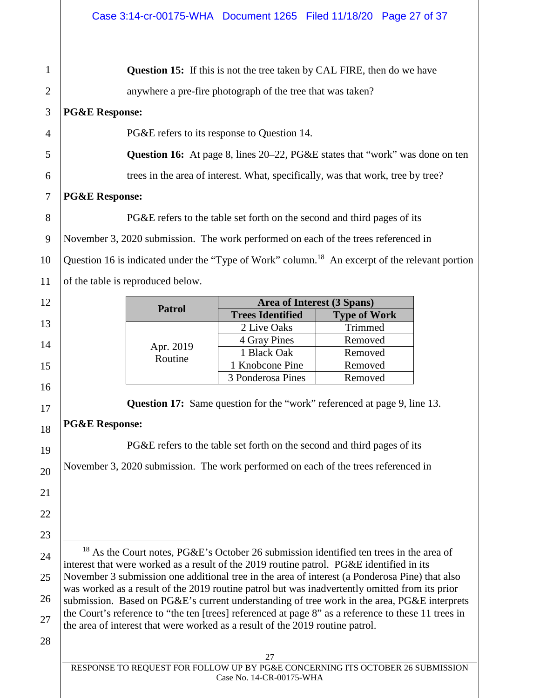27 RESPONSE TO REQUEST FOR FOLLOW UP BY PG&E CONCERNING ITS OCTOBER 26 SUBMISSION 1 2 3 4 5 6 7 8 9 10 11 12 13 14 15 16 17 18 19 20 21 22 23 24 25 26 27 28 **Question 15:** If this is not the tree taken by CAL FIRE, then do we have anywhere a pre-fire photograph of the tree that was taken? **PG&E Response:**  PG&E refers to its response to Question 14. **Question 16:** At page 8, lines 20–22, PG&E states that "work" was done on ten trees in the area of interest. What, specifically, was that work, tree by tree? **PG&E Response:**  PG&E refers to the table set forth on the second and third pages of its November 3, 2020 submission. The work performed on each of the trees referenced in Question 16 is indicated under the "Type of Work" column.<sup>18</sup> An excerpt of the relevant portion of the table is reproduced below. **Patrol •• Patrol •• Patrol •• Patrol •• Patrol •• Prees Identified •• Prees Identified •• Prees Identified •• Prees Identified •• Prees Identified •• Prees Identified •• Prees Identified •• Prees Identified •• Prees Ident Trees Identified** Apr. 2019 Routine 2 Live Oaks Trimmed 4 Gray Pines Removed 1 Black Oak Removed 1 Knobcone Pine Removed 3 Ponderosa Pines | Removed **Question 17:** Same question for the "work" referenced at page 9, line 13. **PG&E Response:** PG&E refers to the table set forth on the second and third pages of its November 3, 2020 submission. The work performed on each of the trees referenced in <sup>18</sup> As the Court notes, PG&E's October 26 submission identified ten trees in the area of interest that were worked as a result of the 2019 routine patrol. PG&E identified in its November 3 submission one additional tree in the area of interest (a Ponderosa Pine) that also was worked as a result of the 2019 routine patrol but was inadvertently omitted from its prior submission. Based on PG&E's current understanding of tree work in the area, PG&E interprets the Court's reference to "the ten [trees] referenced at page 8" as a reference to these 11 trees in the area of interest that were worked as a result of the 2019 routine patrol.

Case No. 14-CR-00175-WHA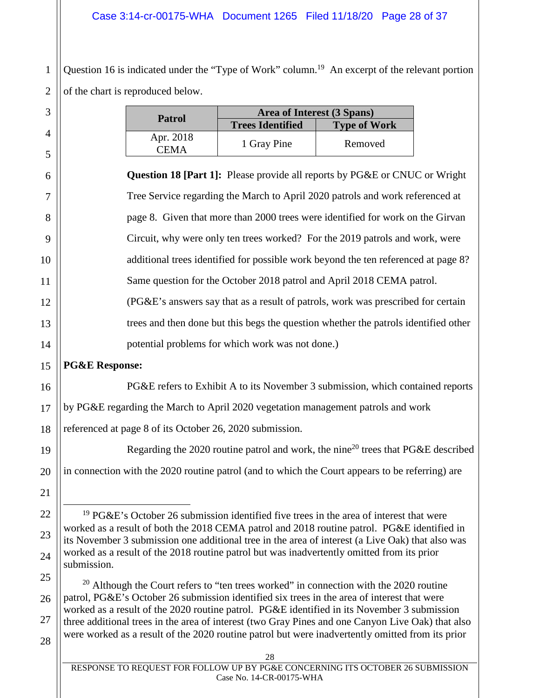# Case 3:14-cr-00175-WHA Document 1265 Filed 11/18/20 Page 28 of 37

1 2 Question 16 is indicated under the "Type of Work" column.<sup>19</sup> An excerpt of the relevant portion of the chart is reproduced below.

| 3              |                                                                                                                                                                                                 | <b>Patrol</b>            | Area of Interest (3 Spans)                                                                  |                     |  |
|----------------|-------------------------------------------------------------------------------------------------------------------------------------------------------------------------------------------------|--------------------------|---------------------------------------------------------------------------------------------|---------------------|--|
| $\overline{4}$ |                                                                                                                                                                                                 |                          | <b>Trees Identified</b>                                                                     | <b>Type of Work</b> |  |
| 5              |                                                                                                                                                                                                 | Apr. 2018<br><b>CEMA</b> | 1 Gray Pine                                                                                 | Removed             |  |
|                |                                                                                                                                                                                                 |                          |                                                                                             |                     |  |
| 6              |                                                                                                                                                                                                 |                          | Question 18 [Part 1]: Please provide all reports by PG&E or CNUC or Wright                  |                     |  |
| 7              | Tree Service regarding the March to April 2020 patrols and work referenced at                                                                                                                   |                          |                                                                                             |                     |  |
| 8              | page 8. Given that more than 2000 trees were identified for work on the Girvan                                                                                                                  |                          |                                                                                             |                     |  |
| 9              | Circuit, why were only ten trees worked? For the 2019 patrols and work, were                                                                                                                    |                          |                                                                                             |                     |  |
| 10             | additional trees identified for possible work beyond the ten referenced at page 8?                                                                                                              |                          |                                                                                             |                     |  |
| 11             | Same question for the October 2018 patrol and April 2018 CEMA patrol.                                                                                                                           |                          |                                                                                             |                     |  |
| 12             | (PG&E's answers say that as a result of patrols, work was prescribed for certain                                                                                                                |                          |                                                                                             |                     |  |
| 13             | trees and then done but this begs the question whether the patrols identified other                                                                                                             |                          |                                                                                             |                     |  |
| 14             | potential problems for which work was not done.)                                                                                                                                                |                          |                                                                                             |                     |  |
| 15             | <b>PG&amp;E Response:</b>                                                                                                                                                                       |                          |                                                                                             |                     |  |
| 16             | PG&E refers to Exhibit A to its November 3 submission, which contained reports                                                                                                                  |                          |                                                                                             |                     |  |
| 17             | by PG&E regarding the March to April 2020 vegetation management patrols and work                                                                                                                |                          |                                                                                             |                     |  |
| 18             | referenced at page 8 of its October 26, 2020 submission.                                                                                                                                        |                          |                                                                                             |                     |  |
| 19             | Regarding the 2020 routine patrol and work, the nine <sup>20</sup> trees that PG&E described                                                                                                    |                          |                                                                                             |                     |  |
| 20             | in connection with the 2020 routine patrol (and to which the Court appears to be referring) are                                                                                                 |                          |                                                                                             |                     |  |
| 21             |                                                                                                                                                                                                 |                          |                                                                                             |                     |  |
| 22             | <sup>19</sup> PG&E's October 26 submission identified five trees in the area of interest that were                                                                                              |                          |                                                                                             |                     |  |
| 23             | worked as a result of both the 2018 CEMA patrol and 2018 routine patrol. PG&E identified in<br>its November 3 submission one additional tree in the area of interest (a Live Oak) that also was |                          |                                                                                             |                     |  |
| 24             | worked as a result of the 2018 routine patrol but was inadvertently omitted from its prior<br>submission.                                                                                       |                          |                                                                                             |                     |  |
| 25             |                                                                                                                                                                                                 |                          | $20$ Although the Court refers to "ten trees worked" in connection with the 2020 routine    |                     |  |
| 26             |                                                                                                                                                                                                 |                          | patrol, PG&E's October 26 submission identified six trees in the area of interest that were |                     |  |

27 28 ber 26 submission identified six trees in the area of worked as a result of the 2020 routine patrol. PG&E identified in its November 3 submission three additional trees in the area of interest (two Gray Pines and one Canyon Live Oak) that also were worked as a result of the 2020 routine patrol but were inadvertently omitted from its prior

28 RESPONSE TO REQUEST FOR FOLLOW UP BY PG&E CONCERNING ITS OCTOBER 26 SUBMISSION Case No. 14-CR-00175-WHA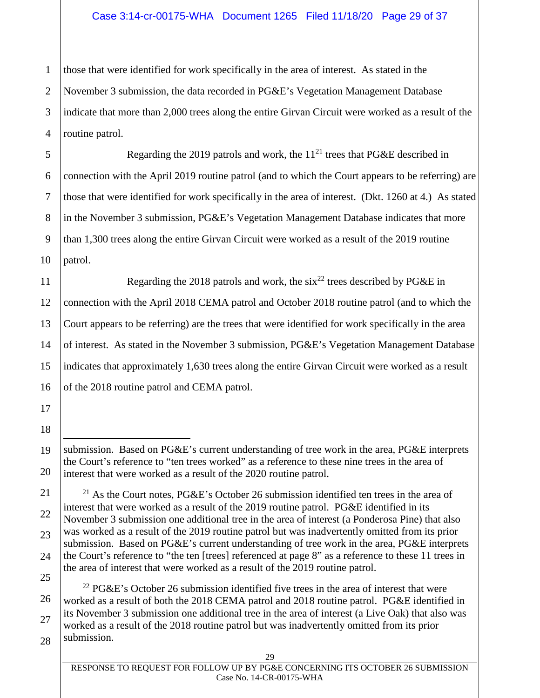# Case 3:14-cr-00175-WHA Document 1265 Filed 11/18/20 Page 29 of 37

2 3 4 those that were identified for work specifically in the area of interest. As stated in the November 3 submission, the data recorded in PG&E's Vegetation Management Database indicate that more than 2,000 trees along the entire Girvan Circuit were worked as a result of the routine patrol.

Regarding the 2019 patrols and work, the  $11^{21}$  trees that PG&E described in connection with the April 2019 routine patrol (and to which the Court appears to be referring) are those that were identified for work specifically in the area of interest. (Dkt. 1260 at 4.) As stated in the November 3 submission, PG&E's Vegetation Management Database indicates that more than 1,300 trees along the entire Girvan Circuit were worked as a result of the 2019 routine patrol.

Regarding the 2018 patrols and work, the  $\sin^{22}$  trees described by PG&E in connection with the April 2018 CEMA patrol and October 2018 routine patrol (and to which the Court appears to be referring) are the trees that were identified for work specifically in the area of interest. As stated in the November 3 submission, PG&E's Vegetation Management Database indicates that approximately 1,630 trees along the entire Girvan Circuit were worked as a result of the 2018 routine patrol and CEMA patrol.

 $22$  PG&E's October 26 submission identified five trees in the area of interest that were worked as a result of both the 2018 CEMA patrol and 2018 routine patrol. PG&E identified in its November 3 submission one additional tree in the area of interest (a Live Oak) that also was worked as a result of the 2018 routine patrol but was inadvertently omitted from its prior submission.

1

5

submission. Based on PG&E's current understanding of tree work in the area, PG&E interprets the Court's reference to "ten trees worked" as a reference to these nine trees in the area of interest that were worked as a result of the 2020 routine patrol.

<sup>&</sup>lt;sup>21</sup> As the Court notes, PG&E's October 26 submission identified ten trees in the area of interest that were worked as a result of the 2019 routine patrol. PG&E identified in its November 3 submission one additional tree in the area of interest (a Ponderosa Pine) that also was worked as a result of the 2019 routine patrol but was inadvertently omitted from its prior submission. Based on PG&E's current understanding of tree work in the area, PG&E interprets the Court's reference to "the ten [trees] referenced at page 8" as a reference to these 11 trees in the area of interest that were worked as a result of the 2019 routine patrol.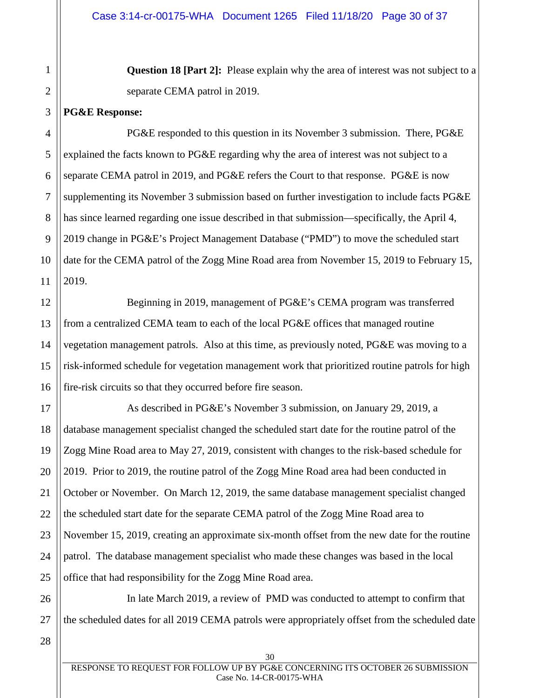**Question 18 [Part 2]:** Please explain why the area of interest was not subject to a separate CEMA patrol in 2019.

#### **PG&E Response:**

1

2

3

12

13

14

15

16

4 5 6 7 8 9 10 11 PG&E responded to this question in its November 3 submission. There, PG&E explained the facts known to PG&E regarding why the area of interest was not subject to a separate CEMA patrol in 2019, and PG&E refers the Court to that response. PG&E is now supplementing its November 3 submission based on further investigation to include facts PG&E has since learned regarding one issue described in that submission—specifically, the April 4, 2019 change in PG&E's Project Management Database ("PMD") to move the scheduled start date for the CEMA patrol of the Zogg Mine Road area from November 15, 2019 to February 15, 2019.

Beginning in 2019, management of PG&E's CEMA program was transferred from a centralized CEMA team to each of the local PG&E offices that managed routine vegetation management patrols. Also at this time, as previously noted, PG&E was moving to a risk-informed schedule for vegetation management work that prioritized routine patrols for high fire-risk circuits so that they occurred before fire season.

17 18 19 20 21 22 23 24 25 As described in PG&E's November 3 submission, on January 29, 2019, a database management specialist changed the scheduled start date for the routine patrol of the Zogg Mine Road area to May 27, 2019, consistent with changes to the risk-based schedule for 2019. Prior to 2019, the routine patrol of the Zogg Mine Road area had been conducted in October or November. On March 12, 2019, the same database management specialist changed the scheduled start date for the separate CEMA patrol of the Zogg Mine Road area to November 15, 2019, creating an approximate six-month offset from the new date for the routine patrol. The database management specialist who made these changes was based in the local office that had responsibility for the Zogg Mine Road area.

26 27 In late March 2019, a review of PMD was conducted to attempt to confirm that the scheduled dates for all 2019 CEMA patrols were appropriately offset from the scheduled date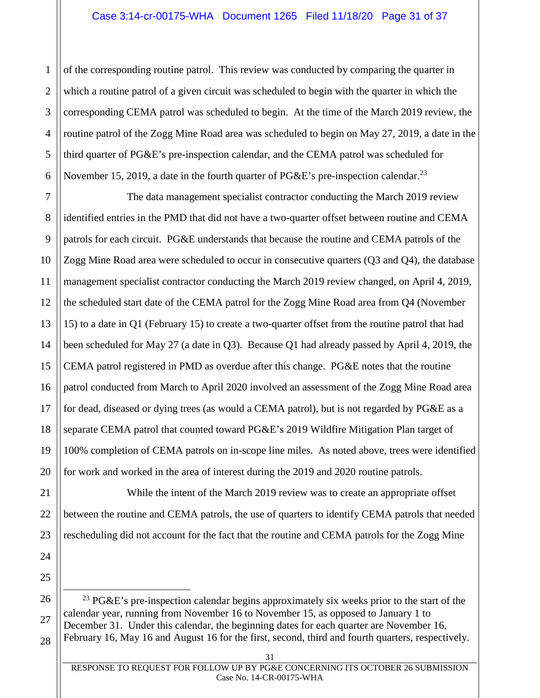1 2 3 4 5 6 of the corresponding routine patrol. This review was conducted by comparing the quarter in which a routine patrol of a given circuit was scheduled to begin with the quarter in which the corresponding CEMA patrol was scheduled to begin. At the time of the March 2019 review, the routine patrol of the Zogg Mine Road area was scheduled to begin on May 27, 2019, a date in the third quarter of PG&E's pre-inspection calendar, and the CEMA patrol was scheduled for November 15, 2019, a date in the fourth quarter of PG&E's pre-inspection calendar.<sup>23</sup>

7 8 9 10 The data management specialist contractor conducting the March 2019 review identified entries in the PMD that did not have a two-quarter offset between routine and CEMA patrols for each circuit. PG&E understands that because the routine and CEMA patrols of the Zogg Mine Road area were scheduled to occur in consecutive quarters (Q3 and Q4), the database management specialist contractor conducting the March 2019 review changed, on April 4, 2019, the scheduled start date of the CEMA patrol for the Zogg Mine Road area from Q4 (November 15) to a date in Q1 (February 15) to create a two-quarter offset from the routine patrol that had been scheduled for May 27 (a date in Q3). Because Q1 had already passed by April 4, 2019, the CEMA patrol registered in PMD as overdue after this change. PG&E notes that the routine patrol conducted from March to April 2020 involved an assessment of the Zogg Mine Road area for dead, diseased or dying trees (as would a CEMA patrol), but is not regarded by PG&E as a separate CEMA patrol that counted toward PG&E's 2019 Wildfire Mitigation Plan target of 100% completion of CEMA patrols on in-scope line miles. As noted above, trees were identified for work and worked in the area of interest during the 2019 and 2020 routine patrols.

While the intent of the March 2019 review was to create an appropriate offset between the routine and CEMA patrols, the use of quarters to identify CEMA patrols that needed rescheduling did not account for the fact that the routine and CEMA patrols for the Zogg Mine

<sup>23</sup> PG&E's pre-inspection calendar begins approximately six weeks prior to the start of the calendar year, running from November 16 to November 15, as opposed to January 1 to December 31. Under this calendar, the beginning dates for each quarter are November 16, February 16, May 16 and August 16 for the first, second, third and fourth quarters, respectively.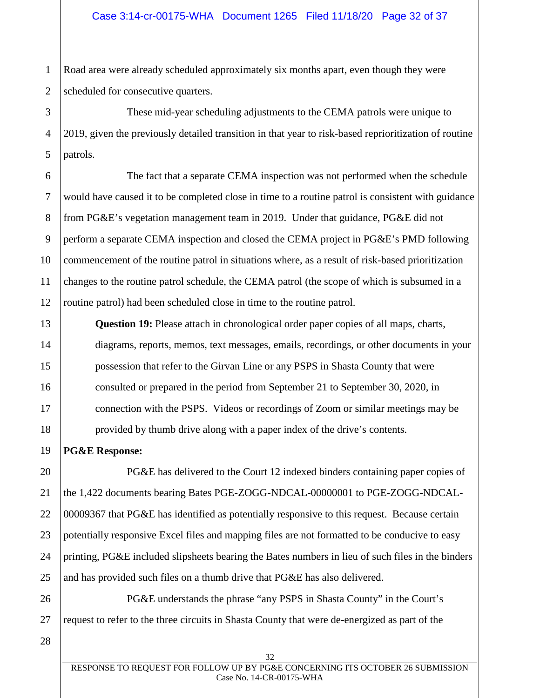1 2 Road area were already scheduled approximately six months apart, even though they were scheduled for consecutive quarters.

3 4 5 These mid-year scheduling adjustments to the CEMA patrols were unique to 2019, given the previously detailed transition in that year to risk-based reprioritization of routine patrols.

6 7 8 9 10 11 12 The fact that a separate CEMA inspection was not performed when the schedule would have caused it to be completed close in time to a routine patrol is consistent with guidance from PG&E's vegetation management team in 2019. Under that guidance, PG&E did not perform a separate CEMA inspection and closed the CEMA project in PG&E's PMD following commencement of the routine patrol in situations where, as a result of risk-based prioritization changes to the routine patrol schedule, the CEMA patrol (the scope of which is subsumed in a routine patrol) had been scheduled close in time to the routine patrol.

**Question 19:** Please attach in chronological order paper copies of all maps, charts, diagrams, reports, memos, text messages, emails, recordings, or other documents in your possession that refer to the Girvan Line or any PSPS in Shasta County that were consulted or prepared in the period from September 21 to September 30, 2020, in connection with the PSPS. Videos or recordings of Zoom or similar meetings may be provided by thumb drive along with a paper index of the drive's contents.

# **PG&E Response:**

PG&E has delivered to the Court 12 indexed binders containing paper copies of the 1,422 documents bearing Bates PGE-ZOGG-NDCAL-00000001 to PGE-ZOGG-NDCAL-00009367 that PG&E has identified as potentially responsive to this request. Because certain potentially responsive Excel files and mapping files are not formatted to be conducive to easy printing, PG&E included slipsheets bearing the Bates numbers in lieu of such files in the binders and has provided such files on a thumb drive that PG&E has also delivered.

PG&E understands the phrase "any PSPS in Shasta County" in the Court's request to refer to the three circuits in Shasta County that were de-energized as part of the

28

13

14

15

16

17

18

19

20

21

22

23

24

25

26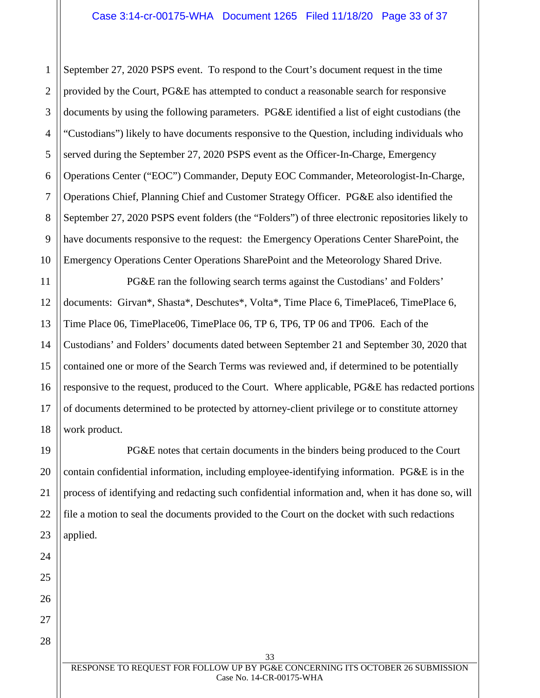1 2 3 4 5 6 7 8 9 10 September 27, 2020 PSPS event. To respond to the Court's document request in the time provided by the Court, PG&E has attempted to conduct a reasonable search for responsive documents by using the following parameters. PG&E identified a list of eight custodians (the "Custodians") likely to have documents responsive to the Question, including individuals who served during the September 27, 2020 PSPS event as the Officer-In-Charge, Emergency Operations Center ("EOC") Commander, Deputy EOC Commander, Meteorologist-In-Charge, Operations Chief, Planning Chief and Customer Strategy Officer. PG&E also identified the September 27, 2020 PSPS event folders (the "Folders") of three electronic repositories likely to have documents responsive to the request: the Emergency Operations Center SharePoint, the Emergency Operations Center Operations SharePoint and the Meteorology Shared Drive.

11 12 13 14 15 16 17 18 PG&E ran the following search terms against the Custodians' and Folders' documents: Girvan\*, Shasta\*, Deschutes\*, Volta\*, Time Place 6, TimePlace6, TimePlace 6, Time Place 06, TimePlace06, TimePlace 06, TP 6, TP6, TP 06 and TP06. Each of the Custodians' and Folders' documents dated between September 21 and September 30, 2020 that contained one or more of the Search Terms was reviewed and, if determined to be potentially responsive to the request, produced to the Court. Where applicable, PG&E has redacted portions of documents determined to be protected by attorney-client privilege or to constitute attorney work product.

PG&E notes that certain documents in the binders being produced to the Court contain confidential information, including employee-identifying information. PG&E is in the process of identifying and redacting such confidential information and, when it has done so, will file a motion to seal the documents provided to the Court on the docket with such redactions applied.

19

20

21

22

23

24

25

26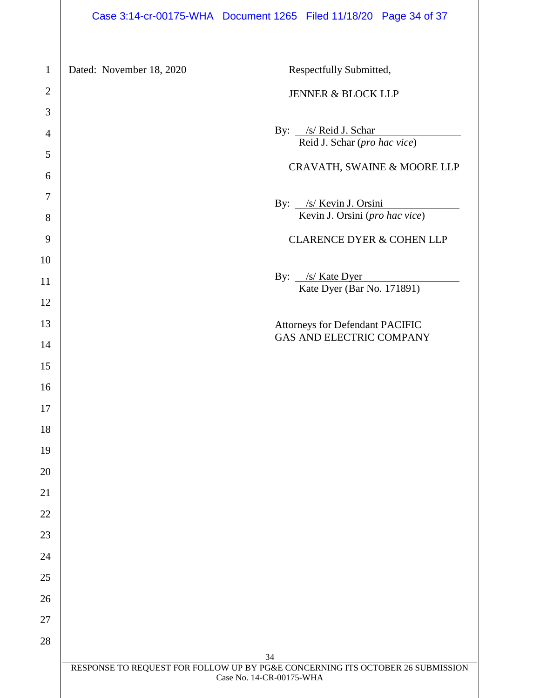Dated: November 18, 2020 Respectfully Submitted,

#### JENNER & BLOCK LLP

By: /s/ Reid J. Schar Reid J. Schar (*pro hac vice*)

## CRAVATH, SWAINE & MOORE LLP

By: /s/ Kevin J. Orsini Kevin J. Orsini (*pro hac vice*)

# CLARENCE DYER & COHEN LLP

By: <u>/s/ Kate Dyer</u> Kate Dyer (Bar No. 171891)

# Attorneys for Defendant PACIFIC GAS AND ELECTRIC COMPANY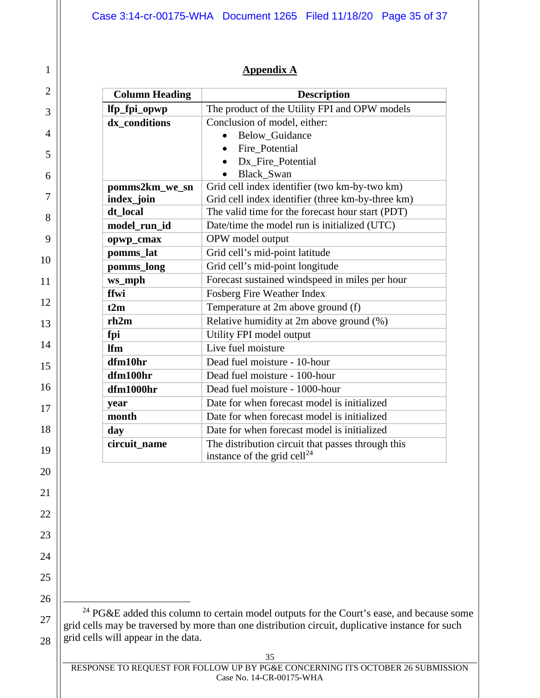# **Appendix A**

| <b>Column Heading</b> | <b>Description</b>                                                                           |
|-----------------------|----------------------------------------------------------------------------------------------|
| lfp_fpi_opwp          | The product of the Utility FPI and OPW models                                                |
| dx conditions         | Conclusion of model, either:                                                                 |
|                       | <b>Below Guidance</b>                                                                        |
|                       | Fire Potential<br>$\bullet$                                                                  |
|                       | Dx Fire Potential                                                                            |
|                       | <b>Black Swan</b>                                                                            |
| pomms2km_we_sn        | Grid cell index identifier (two km-by-two km)                                                |
| index_join            | Grid cell index identifier (three km-by-three km)                                            |
| dt local              | The valid time for the forecast hour start (PDT)                                             |
| model_run_id          | Date/time the model run is initialized (UTC)                                                 |
| opwp_cmax             | OPW model output                                                                             |
| pomms_lat             | Grid cell's mid-point latitude                                                               |
| pomms_long            | Grid cell's mid-point longitude                                                              |
| ws_mph                | Forecast sustained windspeed in miles per hour                                               |
| ffwi                  | Fosberg Fire Weather Index                                                                   |
| t2m                   | Temperature at 2m above ground (f)                                                           |
| rh2m                  | Relative humidity at 2m above ground (%)                                                     |
| fpi                   | Utility FPI model output                                                                     |
| <b>Ifm</b>            | Live fuel moisture                                                                           |
| dfm10hr               | Dead fuel moisture - 10-hour                                                                 |
| dfm100hr              | Dead fuel moisture - 100-hour                                                                |
| dfm1000hr             | Dead fuel moisture - 1000-hour                                                               |
| year                  | Date for when forecast model is initialized                                                  |
| month                 | Date for when forecast model is initialized                                                  |
| day                   | Date for when forecast model is initialized                                                  |
| circuit name          | The distribution circuit that passes through this<br>instance of the grid cell <sup>24</sup> |

28

 $^{24}$  PG&E added this column to certain model outputs for the Court's ease, and because some grid cells may be traversed by more than one distribution circuit, duplicative instance for such grid cells will appear in the data.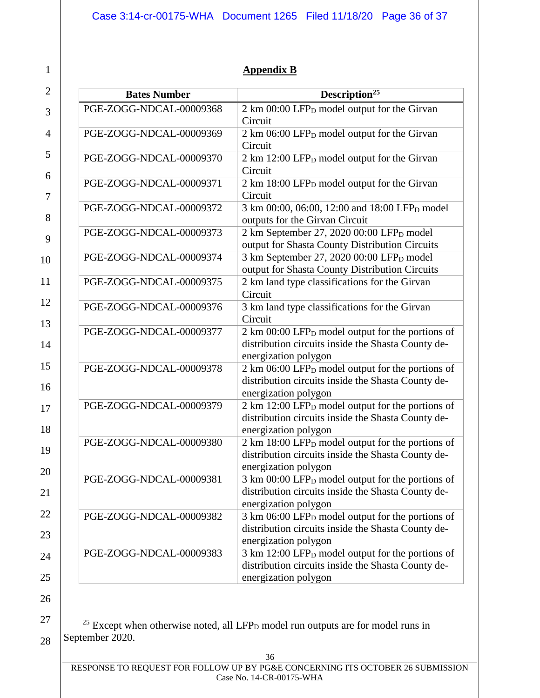# **Appendix B**

| <b>Bates Number</b>     | Description <sup>25</sup>                                    |
|-------------------------|--------------------------------------------------------------|
| PGE-ZOGG-NDCAL-00009368 | 2 km 00:00 LFP <sub>D</sub> model output for the Girvan      |
|                         | Circuit                                                      |
| PGE-ZOGG-NDCAL-00009369 | 2 km 06:00 LFP <sub>D</sub> model output for the Girvan      |
|                         | Circuit                                                      |
| PGE-ZOGG-NDCAL-00009370 | 2 km 12:00 LFP <sub>D</sub> model output for the Girvan      |
|                         | Circuit                                                      |
| PGE-ZOGG-NDCAL-00009371 | 2 km 18:00 LFP <sub>D</sub> model output for the Girvan      |
|                         | Circuit                                                      |
| PGE-ZOGG-NDCAL-00009372 | 3 km 00:00, 06:00, 12:00 and 18:00 LFP <sub>D</sub> model    |
|                         | outputs for the Girvan Circuit                               |
| PGE-ZOGG-NDCAL-00009373 | 2 km September 27, 2020 00:00 LFP <sub>D</sub> model         |
|                         | output for Shasta County Distribution Circuits               |
| PGE-ZOGG-NDCAL-00009374 | 3 km September 27, 2020 00:00 LFP <sub>D</sub> model         |
|                         | output for Shasta County Distribution Circuits               |
| PGE-ZOGG-NDCAL-00009375 | 2 km land type classifications for the Girvan                |
|                         | Circuit                                                      |
| PGE-ZOGG-NDCAL-00009376 | 3 km land type classifications for the Girvan                |
|                         | Circuit                                                      |
| PGE-ZOGG-NDCAL-00009377 | 2 km 00:00 LFP <sub>D</sub> model output for the portions of |
|                         | distribution circuits inside the Shasta County de-           |
|                         | energization polygon                                         |
| PGE-ZOGG-NDCAL-00009378 | 2 km 06:00 LFP <sub>D</sub> model output for the portions of |
|                         | distribution circuits inside the Shasta County de-           |
|                         | energization polygon                                         |
| PGE-ZOGG-NDCAL-00009379 | 2 km 12:00 LFP <sub>D</sub> model output for the portions of |
|                         | distribution circuits inside the Shasta County de-           |
|                         | energization polygon                                         |
| PGE-ZOGG-NDCAL-00009380 | 2 km 18:00 LFP <sub>D</sub> model output for the portions of |
|                         | distribution circuits inside the Shasta County de-           |
|                         | energization polygon                                         |
| PGE-ZOGG-NDCAL-00009381 | 3 km 00:00 LFP <sub>D</sub> model output for the portions of |
|                         | distribution circuits inside the Shasta County de-           |
|                         | energization polygon                                         |
| PGE-ZOGG-NDCAL-00009382 | 3 km 06:00 LFP <sub>D</sub> model output for the portions of |
|                         | distribution circuits inside the Shasta County de-           |
|                         | energization polygon                                         |
| PGE-ZOGG-NDCAL-00009383 | 3 km 12:00 LFP <sub>D</sub> model output for the portions of |
|                         | distribution circuits inside the Shasta County de-           |
|                         | energization polygon                                         |

 $25$  Except when otherwise noted, all LFP<sub>D</sub> model run outputs are for model runs in September 2020.

<sup>28</sup>